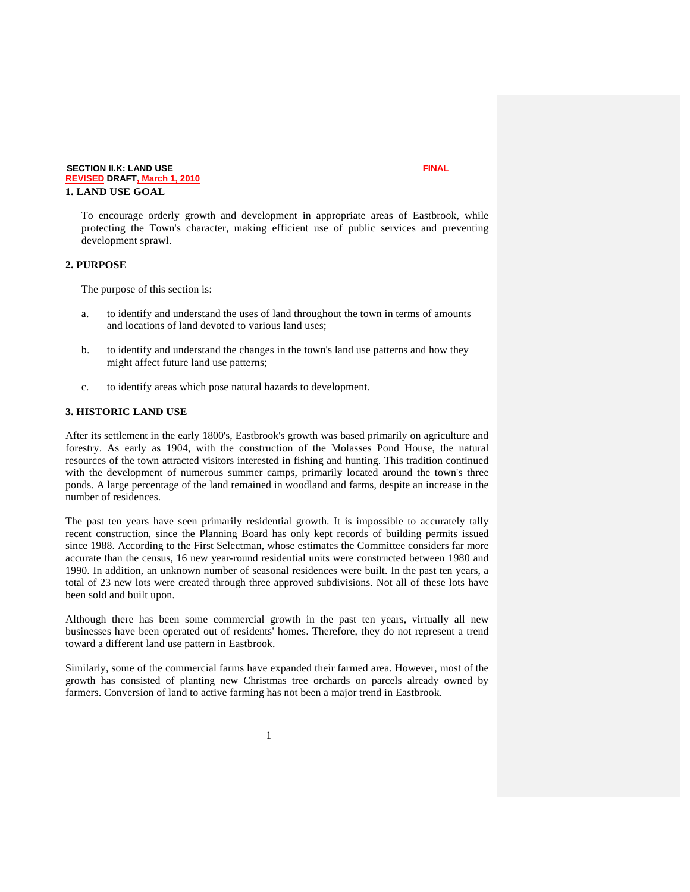#### **SECTION II.K: LAND USE FINAL REVISED DRAFT, March 1, 2010 1. LAND USE GOAL**

To encourage orderly growth and development in appropriate areas of Eastbrook, while protecting the Town's character, making efficient use of public services and preventing development sprawl.

#### **2. PURPOSE**

The purpose of this section is:

- a. to identify and understand the uses of land throughout the town in terms of amounts and locations of land devoted to various land uses;
- b. to identify and understand the changes in the town's land use patterns and how they might affect future land use patterns;
- c. to identify areas which pose natural hazards to development.

#### **3. HISTORIC LAND USE**

After its settlement in the early 1800's, Eastbrook's growth was based primarily on agriculture and forestry. As early as 1904, with the construction of the Molasses Pond House, the natural resources of the town attracted visitors interested in fishing and hunting. This tradition continued with the development of numerous summer camps, primarily located around the town's three ponds. A large percentage of the land remained in woodland and farms, despite an increase in the number of residences.

The past ten years have seen primarily residential growth. It is impossible to accurately tally recent construction, since the Planning Board has only kept records of building permits issued since 1988. According to the First Selectman, whose estimates the Committee considers far more accurate than the census, 16 new year-round residential units were constructed between 1980 and 1990. In addition, an unknown number of seasonal residences were built. In the past ten years, a total of 23 new lots were created through three approved subdivisions. Not all of these lots have been sold and built upon.

Although there has been some commercial growth in the past ten years, virtually all new businesses have been operated out of residents' homes. Therefore, they do not represent a trend toward a different land use pattern in Eastbrook.

Similarly, some of the commercial farms have expanded their farmed area. However, most of the growth has consisted of planting new Christmas tree orchards on parcels already owned by farmers. Conversion of land to active farming has not been a major trend in Eastbrook.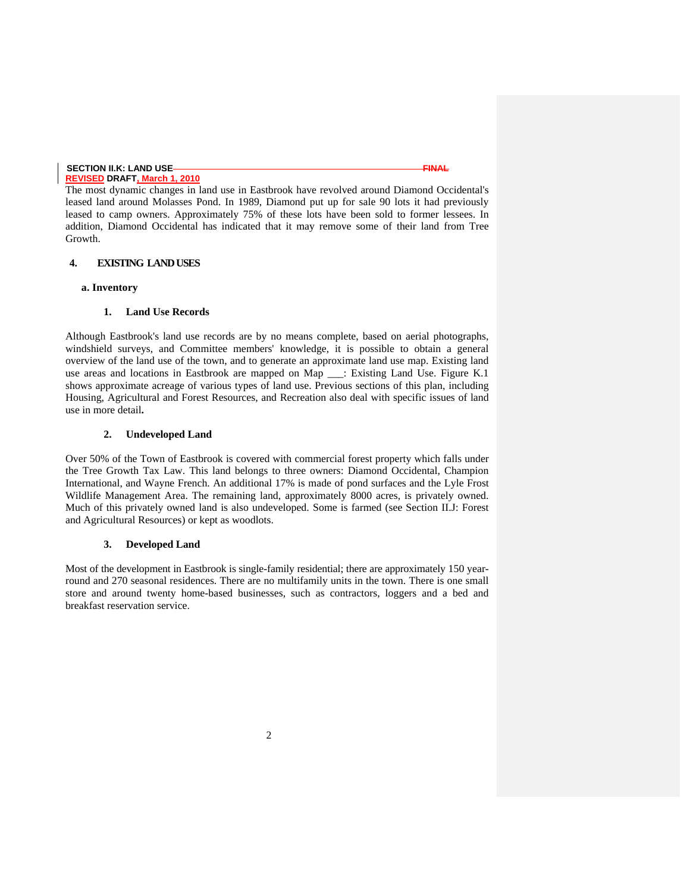The most dynamic changes in land use in Eastbrook have revolved around Diamond Occidental's leased land around Molasses Pond. In 1989, Diamond put up for sale 90 lots it had previously leased to camp owners. Approximately 75% of these lots have been sold to former lessees. In addition, Diamond Occidental has indicated that it may remove some of their land from Tree Growth.

#### **4. EXISTING LAND USES**

#### **a. Inventory**

#### **1. Land Use Records**

Although Eastbrook's land use records are by no means complete, based on aerial photographs, windshield surveys, and Committee members' knowledge, it is possible to obtain a general overview of the land use of the town, and to generate an approximate land use map. Existing land use areas and locations in Eastbrook are mapped on Map \_\_\_: Existing Land Use. Figure K.1 shows approximate acreage of various types of land use. Previous sections of this plan, including Housing, Agricultural and Forest Resources, and Recreation also deal with specific issues of land use in more detail**.** 

#### **2. Undeveloped Land**

Over 50% of the Town of Eastbrook is covered with commercial forest property which falls under the Tree Growth Tax Law. This land belongs to three owners: Diamond Occidental, Champion International, and Wayne French. An additional 17% is made of pond surfaces and the Lyle Frost Wildlife Management Area. The remaining land, approximately 8000 acres, is privately owned. Much of this privately owned land is also undeveloped. Some is farmed (see Section II.J: Forest and Agricultural Resources) or kept as woodlots.

#### **3. Developed Land**

Most of the development in Eastbrook is single-family residential; there are approximately 150 yearround and 270 seasonal residences. There are no multifamily units in the town. There is one small store and around twenty home-based businesses, such as contractors, loggers and a bed and breakfast reservation service.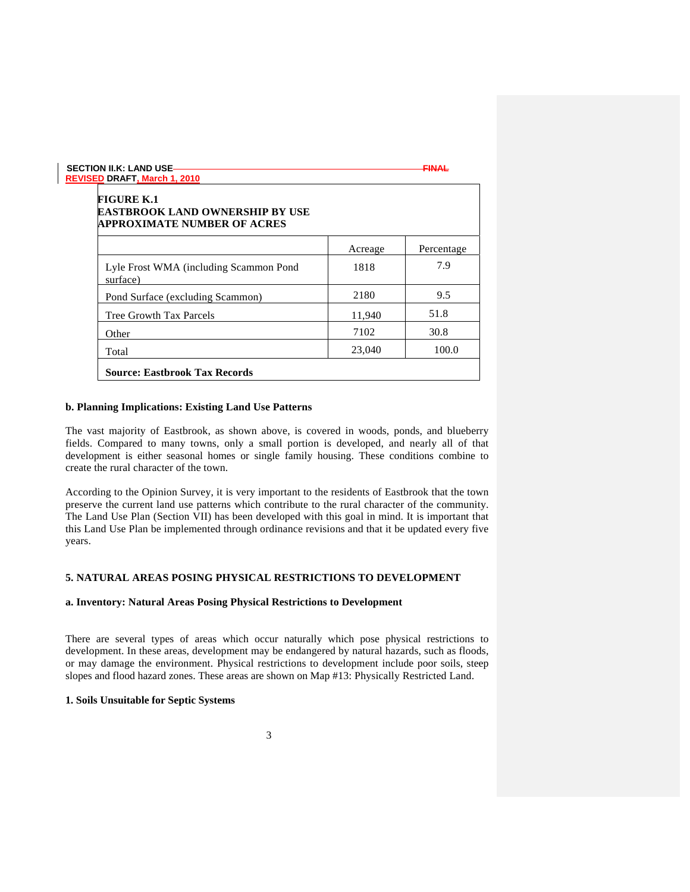| <b>FIGURE K.1</b><br>EASTBROOK LAND OWNERSHIP BY USE<br><b>APPROXIMATE NUMBER OF ACRES</b> |         |            |
|--------------------------------------------------------------------------------------------|---------|------------|
|                                                                                            | Acreage | Percentage |
| Lyle Frost WMA (including Scammon Pond<br>surface)                                         | 1818    | 7.9        |
| Pond Surface (excluding Scammon)                                                           | 2180    | 9.5        |
| Tree Growth Tax Parcels                                                                    | 11.940  | 51.8       |
| Other                                                                                      | 7102    | 30.8       |
| Total                                                                                      | 23,040  | 100.0      |

#### **b. Planning Implications: Existing Land Use Patterns**

The vast majority of Eastbrook, as shown above, is covered in woods, ponds, and blueberry fields. Compared to many towns, only a small portion is developed, and nearly all of that development is either seasonal homes or single family housing. These conditions combine to create the rural character of the town.

According to the Opinion Survey, it is very important to the residents of Eastbrook that the town preserve the current land use patterns which contribute to the rural character of the community. The Land Use Plan (Section VII) has been developed with this goal in mind. It is important that this Land Use Plan be implemented through ordinance revisions and that it be updated every five years.

### **5. NATURAL AREAS POSING PHYSICAL RESTRICTIONS TO DEVELOPMENT**

### **a. Inventory: Natural Areas Posing Physical Restrictions to Development**

There are several types of areas which occur naturally which pose physical restrictions to development. In these areas, development may be endangered by natural hazards, such as floods, or may damage the environment. Physical restrictions to development include poor soils, steep slopes and flood hazard zones. These areas are shown on Map #13: Physically Restricted Land.

### **1. Soils Unsuitable for Septic Systems**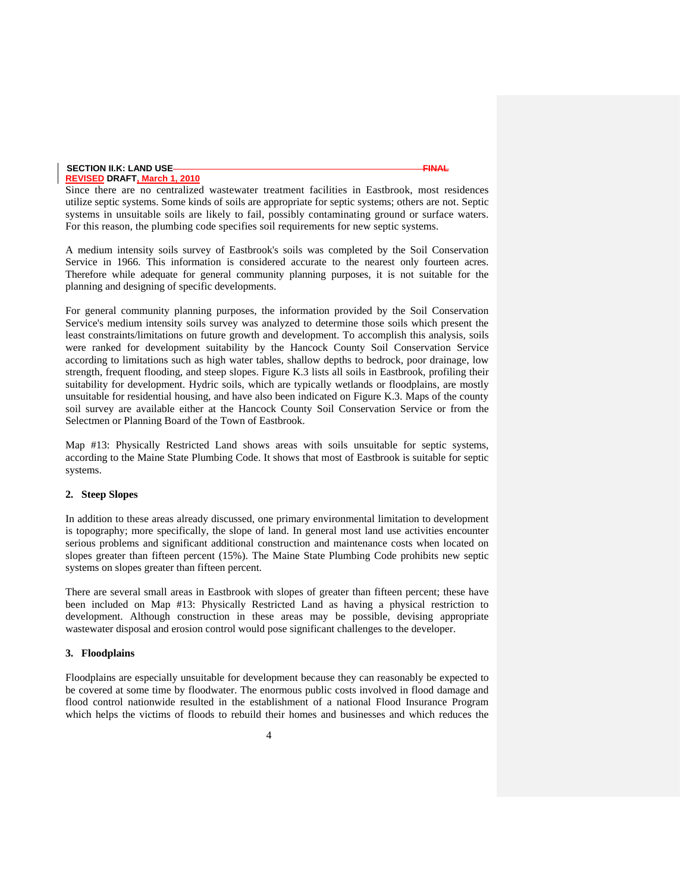# **SECTION II.K: LAND USE FINAL**

### **REVISED DRAFT, March 1, 2010**

Since there are no centralized wastewater treatment facilities in Eastbrook, most residences utilize septic systems. Some kinds of soils are appropriate for septic systems; others are not. Septic systems in unsuitable soils are likely to fail, possibly contaminating ground or surface waters. For this reason, the plumbing code specifies soil requirements for new septic systems.

A medium intensity soils survey of Eastbrook's soils was completed by the Soil Conservation Service in 1966. This information is considered accurate to the nearest only fourteen acres. Therefore while adequate for general community planning purposes, it is not suitable for the planning and designing of specific developments.

For general community planning purposes, the information provided by the Soil Conservation Service's medium intensity soils survey was analyzed to determine those soils which present the least constraints/limitations on future growth and development. To accomplish this analysis, soils were ranked for development suitability by the Hancock County Soil Conservation Service according to limitations such as high water tables, shallow depths to bedrock, poor drainage, low strength, frequent flooding, and steep slopes. Figure K.3 lists all soils in Eastbrook, profiling their suitability for development. Hydric soils, which are typically wetlands or floodplains, are mostly unsuitable for residential housing, and have also been indicated on Figure K.3. Maps of the county soil survey are available either at the Hancock County Soil Conservation Service or from the Selectmen or Planning Board of the Town of Eastbrook.

Map #13: Physically Restricted Land shows areas with soils unsuitable for septic systems, according to the Maine State Plumbing Code. It shows that most of Eastbrook is suitable for septic systems.

#### **2. Steep Slopes**

In addition to these areas already discussed, one primary environmental limitation to development is topography; more specifically, the slope of land. In general most land use activities encounter serious problems and significant additional construction and maintenance costs when located on slopes greater than fifteen percent (15%). The Maine State Plumbing Code prohibits new septic systems on slopes greater than fifteen percent.

There are several small areas in Eastbrook with slopes of greater than fifteen percent; these have been included on Map #13: Physically Restricted Land as having a physical restriction to development. Although construction in these areas may be possible, devising appropriate wastewater disposal and erosion control would pose significant challenges to the developer.

#### **3. Floodplains**

Floodplains are especially unsuitable for development because they can reasonably be expected to be covered at some time by floodwater. The enormous public costs involved in flood damage and flood control nationwide resulted in the establishment of a national Flood Insurance Program which helps the victims of floods to rebuild their homes and businesses and which reduces the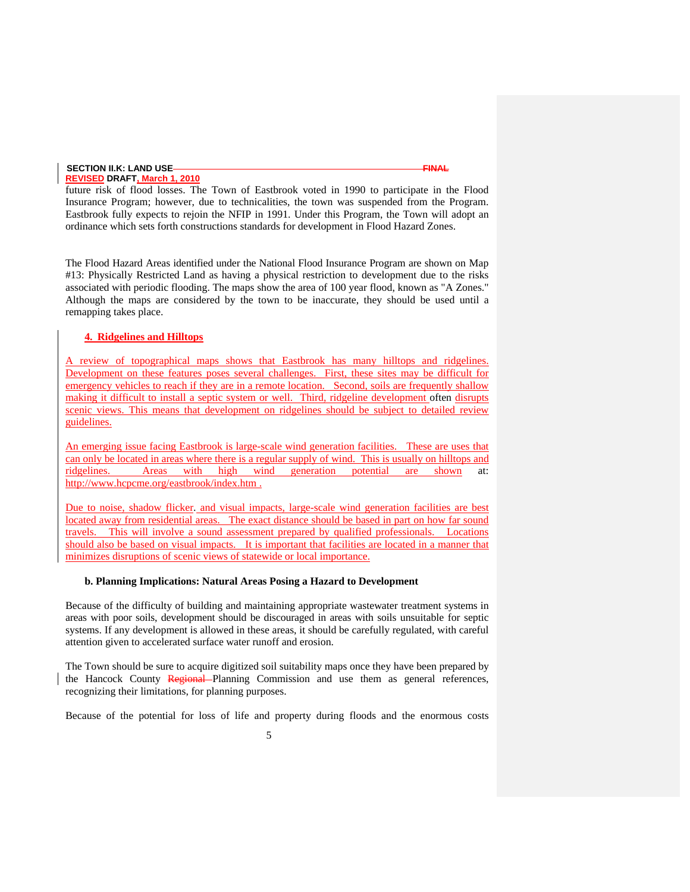future risk of flood losses. The Town of Eastbrook voted in 1990 to participate in the Flood Insurance Program; however, due to technicalities, the town was suspended from the Program. Eastbrook fully expects to rejoin the NFIP in 1991. Under this Program, the Town will adopt an ordinance which sets forth constructions standards for development in Flood Hazard Zones.

The Flood Hazard Areas identified under the National Flood Insurance Program are shown on Map #13: Physically Restricted Land as having a physical restriction to development due to the risks associated with periodic flooding. The maps show the area of 100 year flood, known as "A Zones." Although the maps are considered by the town to be inaccurate, they should be used until a remapping takes place.

#### **4. Ridgelines and Hilltops**

A review of topographical maps shows that Eastbrook has many hilltops and ridgelines. Development on these features poses several challenges. First, these sites may be difficult for emergency vehicles to reach if they are in a remote location. Second, soils are frequently shallow making it difficult to install a septic system or well. Third, ridgeline development often disrupts scenic views. This means that development on ridgelines should be subject to detailed review guidelines.

An emerging issue facing Eastbrook is large-scale wind generation facilities. These are uses that can only be located in areas where there is a regular supply of wind. This is usually on hilltops and ridgelines. Areas with high wind generation potential are shown at: http://www.hcpcme.org/eastbrook/index.htm .

Due to noise, shadow flicker. and visual impacts, large-scale wind generation facilities are best located away from residential areas. The exact distance should be based in part on how far sound travels. This will involve a sound assessment prepared by qualified professionals. Locations should also be based on visual impacts. It is important that facilities are located in a manner that minimizes disruptions of scenic views of statewide or local importance.

#### **b. Planning Implications: Natural Areas Posing a Hazard to Development**

Because of the difficulty of building and maintaining appropriate wastewater treatment systems in areas with poor soils, development should be discouraged in areas with soils unsuitable for septic systems. If any development is allowed in these areas, it should be carefully regulated, with careful attention given to accelerated surface water runoff and erosion.

The Town should be sure to acquire digitized soil suitability maps once they have been prepared by the Hancock County Regional Planning Commission and use them as general references, recognizing their limitations, for planning purposes.

Because of the potential for loss of life and property during floods and the enormous costs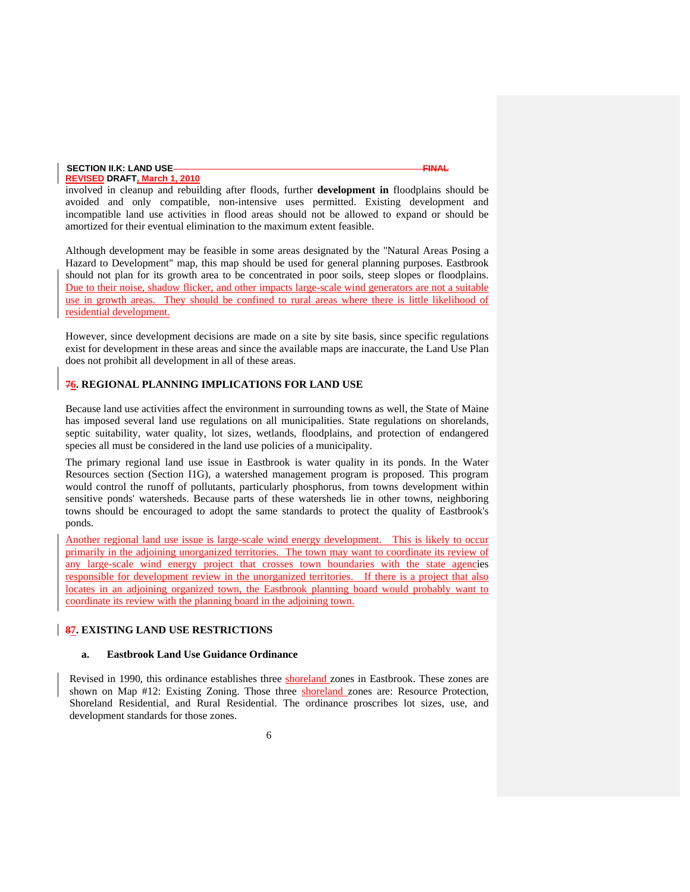involved in cleanup and rebuilding after floods, further **development in** floodplains should be avoided and only compatible, non-intensive uses permitted. Existing development and incompatible land use activities in flood areas should not be allowed to expand or should be amortized for their eventual elimination to the maximum extent feasible.

Although development may be feasible in some areas designated by the "Natural Areas Posing a Hazard to Development" map, this map should be used for general planning purposes. Eastbrook should not plan for its growth area to be concentrated in poor soils, steep slopes or floodplains. Due to their noise, shadow flicker, and other impacts large-scale wind generators are not a suitable use in growth areas. They should be confined to rural areas where there is little likelihood of residential development.

However, since development decisions are made on a site by site basis, since specific regulations exist for development in these areas and since the available maps are inaccurate, the Land Use Plan does not prohibit all development in all of these areas.

### **76. REGIONAL PLANNING IMPLICATIONS FOR LAND USE**

Because land use activities affect the environment in surrounding towns as well, the State of Maine has imposed several land use regulations on all municipalities. State regulations on shorelands, septic suitability, water quality, lot sizes, wetlands, floodplains, and protection of endangered species all must be considered in the land use policies of a municipality.

The primary regional land use issue in Eastbrook is water quality in its ponds. In the Water Resources section (Section I1G), a watershed management program is proposed. This program would control the runoff of pollutants, particularly phosphorus, from towns development within sensitive ponds' watersheds. Because parts of these watersheds lie in other towns, neighboring towns should be encouraged to adopt the same standards to protect the quality of Eastbrook's ponds.

Another regional land use issue is large-scale wind energy development. This is likely to occur primarily in the adjoining unorganized territories. The town may want to coordinate its review of any large-scale wind energy project that crosses town boundaries with the state agencies responsible for development review in the unorganized territories. If there is a project that also locates in an adjoining organized town, the Eastbrook planning board would probably want to coordinate its review with the planning board in the adjoining town.

#### **87. EXISTING LAND USE RESTRICTIONS**

#### **a. Eastbrook Land Use Guidance Ordinance**

Revised in 1990, this ordinance establishes three shoreland zones in Eastbrook. These zones are shown on Map #12: Existing Zoning. Those three shoreland zones are: Resource Protection, Shoreland Residential, and Rural Residential. The ordinance proscribes lot sizes, use, and development standards for those zones.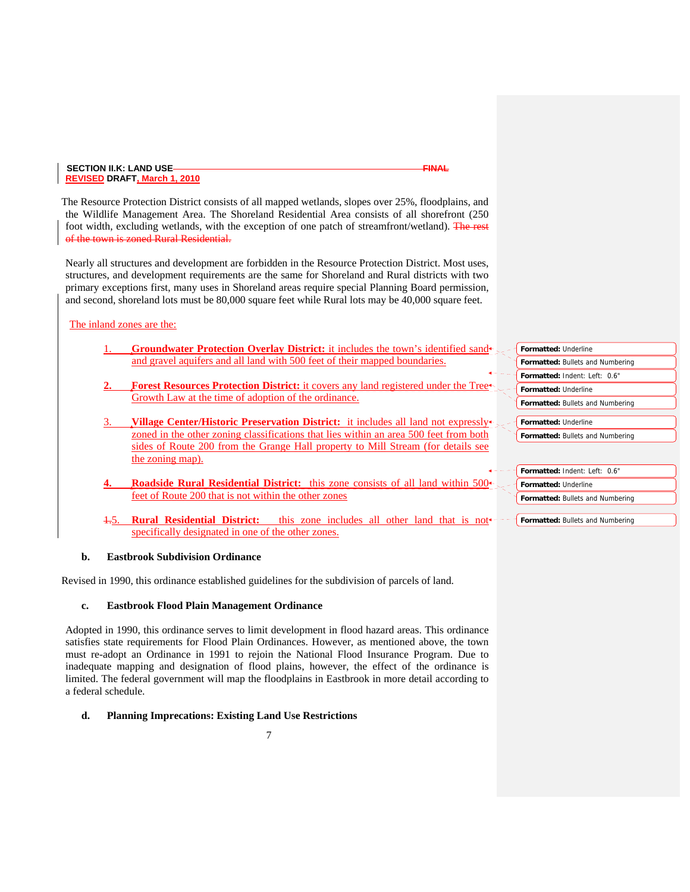The Resource Protection District consists of all mapped wetlands, slopes over 25%, floodplains, and the Wildlife Management Area. The Shoreland Residential Area consists of all shorefront (250 foot width, excluding wetlands, with the exception of one patch of streamfront/wetland). The rest of the town is zoned Rural Residential.

Nearly all structures and development are forbidden in the Resource Protection District. Most uses, structures, and development requirements are the same for Shoreland and Rural districts with two primary exceptions first, many uses in Shoreland areas require special Planning Board permission, and second, shoreland lots must be 80,000 square feet while Rural lots may be 40,000 square feet.

### The inland zones are the:

- 1. **Groundwater Protection Overlay District:** it includes the town's identified sand and gravel aquifers and all land with 500 feet of their mapped boundaries.
- **2. Forest Resources Protection District:** it covers any land registered under the Tree Growth Law at the time of adoption of the ordinance.
- 3. **Village Center/Historic Preservation District:** it includes all land not expressly zoned in the other zoning classifications that lies within an area 500 feet from both sides of Route 200 from the Grange Hall property to Mill Stream (for details see the zoning map).
- **4. Roadside Rural Residential District:** this zone consists of all land within 500 feet of Route 200 that is not within the other zones
- Rural Residential District: this zone includes all other land that is not specifically designated in one of the other zones.

### **b. Eastbrook Subdivision Ordinance**

Revised in 1990, this ordinance established guidelines for the subdivision of parcels of land.

### **c. Eastbrook Flood Plain Management Ordinance**

Adopted in 1990, this ordinance serves to limit development in flood hazard areas. This ordinance satisfies state requirements for Flood Plain Ordinances. However, as mentioned above, the town must re-adopt an Ordinance in 1991 to rejoin the National Flood Insurance Program. Due to inadequate mapping and designation of flood plains, however, the effect of the ordinance is limited. The federal government will map the floodplains in Eastbrook in more detail according to a federal schedule.

### **d. Planning Imprecations: Existing Land Use Restrictions**

7

- **Formatted:** Underline **Formatted:** Bullets and Numbering **Formatted:** Indent: Left: 0.6" **Formatted:** Underline **Formatted:** Bullets and Numbering **Formatted:** Underline **Formatted:** Bullets and Numbering
- **Formatted:** Indent: Left: 0.6" **Formatted:** Underline **Formatted:** Bullets and Numbering

**Formatted:** Bullets and Numbering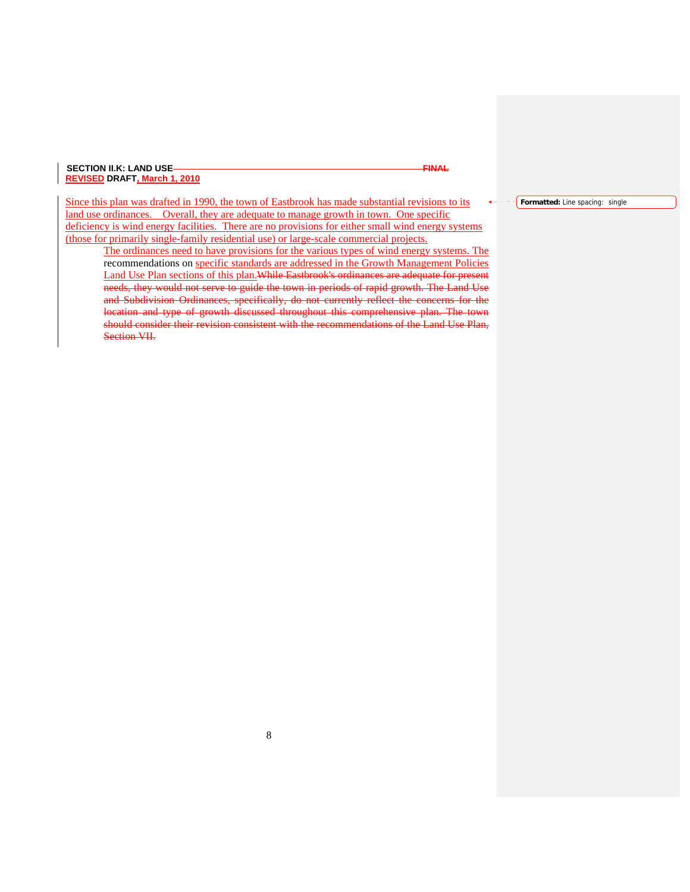Since this plan was drafted in 1990, the town of Eastbrook has made substantial revisions to its land use ordinances. Overall, they are adequate to manage growth in town. One specific deficiency is wind energy facilities. There are no provisions for either small wind energy systems (those for primarily single-family residential use) or large-scale commercial projects.

The ordinances need to have provisions for the various types of wind energy systems. The recommendations on specific standards are addressed in the Growth Management Policies Land Use Plan sections of this plan.While Eastbrook's ordinances are adequate for present needs, they would not serve to guide the town in periods of rapid growth. The Land Use and Subdivision Ordinances, specifically, do not currently reflect the concerns for the location and type of growth discussed throughout this comprehensive plan. The town should consider their revision consistent with the recommendations of the Land Use Plan, Section VII.

**Formatted:** Line spacing: single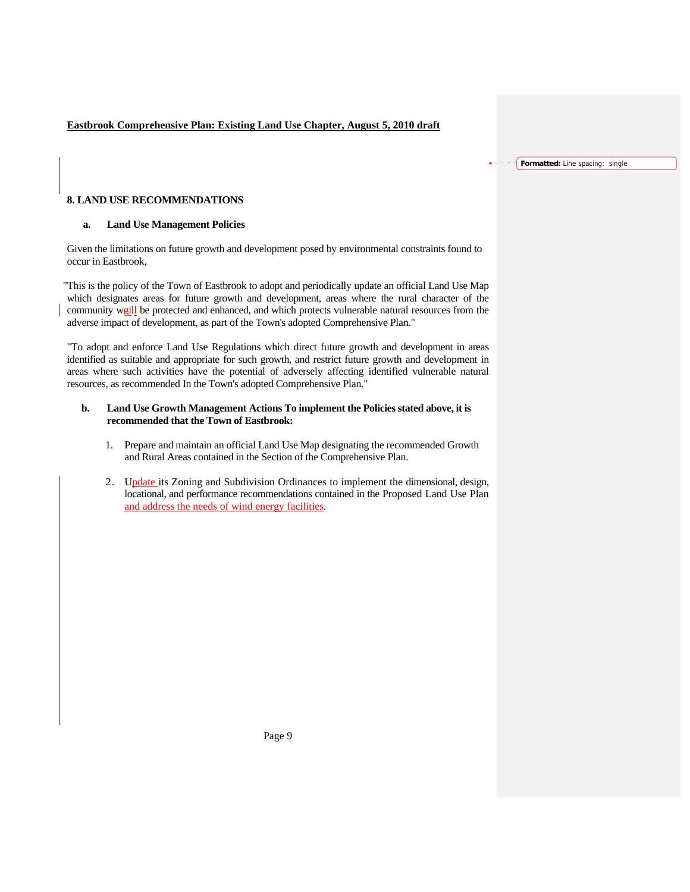### **Eastbrook Comprehensive Plan: Existing Land Use Chapter, August 5, 2010 draft**

#### **Formatted:** Line spacing: single

### **8. LAND USE RECOMMENDATIONS**

#### **a. Land Use Management Policies**

Given the limitations on future growth and development posed by environmental constraints found to occur in Eastbrook,

"This is the policy of the Town of Eastbrook to adopt and periodically update an official Land Use Map which designates areas for future growth and development, areas where the rural character of the community weill be protected and enhanced, and which protects vulnerable natural resources from the adverse impact of development, as part of the Town's adopted Comprehensive Plan."

"To adopt and enforce Land Use Regulations which direct future growth and development in areas identified as suitable and appropriate for such growth, and restrict future growth and development in areas where such activities have the potential of adversely affecting identified vulnerable natural resources, as recommended In the Town's adopted Comprehensive Plan."

#### **b. Land Use Growth Management Actions To implement the Policies stated above, it is recommended that the Town of Eastbrook:**

- 1. Prepare and maintain an official Land Use Map designating the recommended Growth and Rural Areas contained in the Section of the Comprehensive Plan.
- 2. Update its Zoning and Subdivision Ordinances to implement the dimensional, design, locational, and performance recommendations contained in the Proposed Land Use Plan and address the needs of wind energy facilities.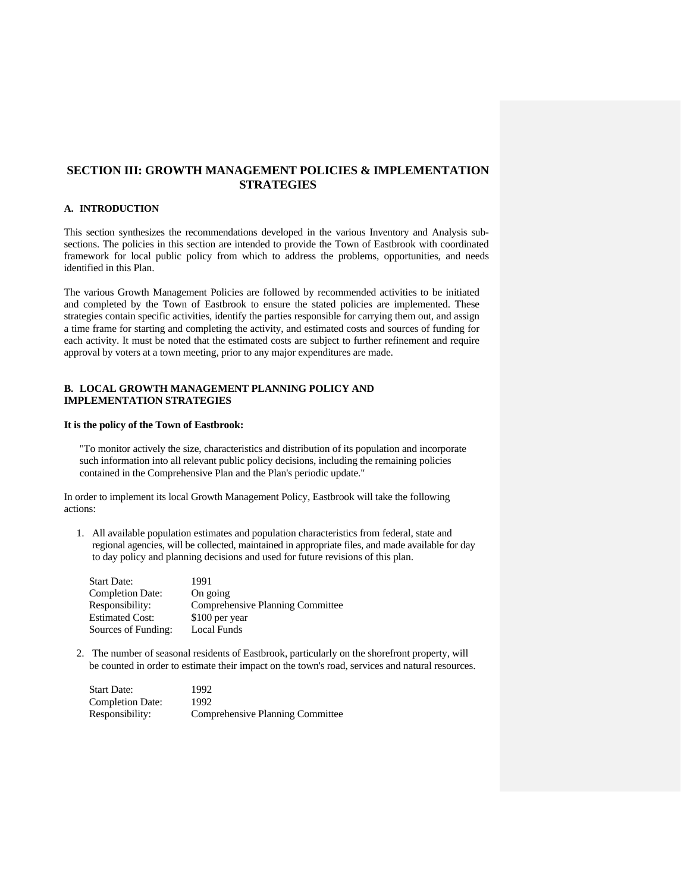### **SECTION III: GROWTH MANAGEMENT POLICIES & IMPLEMENTATION STRATEGIES**

#### **A. INTRODUCTION**

This section synthesizes the recommendations developed in the various Inventory and Analysis subsections. The policies in this section are intended to provide the Town of Eastbrook with coordinated framework for local public policy from which to address the problems, opportunities, and needs identified in this Plan.

The various Growth Management Policies are followed by recommended activities to be initiated and completed by the Town of Eastbrook to ensure the stated policies are implemented. These strategies contain specific activities, identify the parties responsible for carrying them out, and assign a time frame for starting and completing the activity, and estimated costs and sources of funding for each activity. It must be noted that the estimated costs are subject to further refinement and require approval by voters at a town meeting, prior to any major expenditures are made.

### **B. LOCAL GROWTH MANAGEMENT PLANNING POLICY AND IMPLEMENTATION STRATEGIES**

#### **It is the policy of the Town of Eastbrook:**

"To monitor actively the size, characteristics and distribution of its population and incorporate such information into all relevant public policy decisions, including the remaining policies contained in the Comprehensive Plan and the Plan's periodic update."

In order to implement its local Growth Management Policy, Eastbrook will take the following actions:

1. All available population estimates and population characteristics from federal, state and regional agencies, will be collected, maintained in appropriate files, and made available for day to day policy and planning decisions and used for future revisions of this plan.

| Start Date:             | 1991                                    |
|-------------------------|-----------------------------------------|
| <b>Completion Date:</b> | On going                                |
| Responsibility:         | <b>Comprehensive Planning Committee</b> |
| <b>Estimated Cost:</b>  | \$100 per year                          |
| Sources of Funding:     | Local Funds                             |
|                         |                                         |

2. The number of seasonal residents of Eastbrook, particularly on the shorefront property, will be counted in order to estimate their impact on the town's road, services and natural resources.

| <b>Start Date:</b>      | 1992                             |
|-------------------------|----------------------------------|
| <b>Completion Date:</b> | 1992                             |
| Responsibility:         | Comprehensive Planning Committee |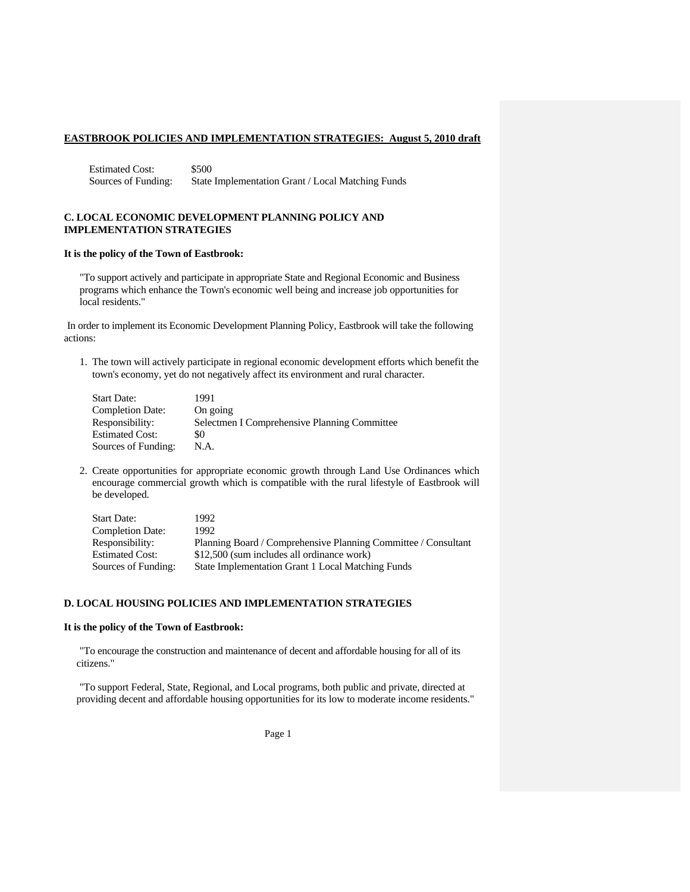Estimated Cost: \$500 Sources of Funding: State Implementation Grant / Local Matching Funds

#### **C. LOCAL ECONOMIC DEVELOPMENT PLANNING POLICY AND IMPLEMENTATION STRATEGIES**

#### **It is the policy of the Town of Eastbrook:**

"To support actively and participate in appropriate State and Regional Economic and Business programs which enhance the Town's economic well being and increase job opportunities for local residents."

In order to implement its Economic Development Planning Policy, Eastbrook will take the following actions:

1. The town will actively participate in regional economic development efforts which benefit the town's economy, yet do not negatively affect its environment and rural character.

| <b>Start Date:</b>      | 1991                                         |
|-------------------------|----------------------------------------------|
| <b>Completion Date:</b> | On going                                     |
| Responsibility:         | Selectmen I Comprehensive Planning Committee |
| <b>Estimated Cost:</b>  | \$0                                          |
| Sources of Funding:     | N.A.                                         |

2. Create opportunities for appropriate economic growth through Land Use Ordinances which encourage commercial growth which is compatible with the rural lifestyle of Eastbrook will be developed.

| Start Date:             | 1992                                                           |
|-------------------------|----------------------------------------------------------------|
| <b>Completion Date:</b> | 1992.                                                          |
| Responsibility:         | Planning Board / Comprehensive Planning Committee / Consultant |
| Estimated Cost:         | \$12,500 (sum includes all ordinance work)                     |
| Sources of Funding:     | State Implementation Grant 1 Local Matching Funds              |

#### **D. LOCAL HOUSING POLICIES AND IMPLEMENTATION STRATEGIES**

#### **It is the policy of the Town of Eastbrook:**

"To encourage the construction and maintenance of decent and affordable housing for all of its citizens."

"To support Federal, State, Regional, and Local programs, both public and private, directed at providing decent and affordable housing opportunities for its low to moderate income residents."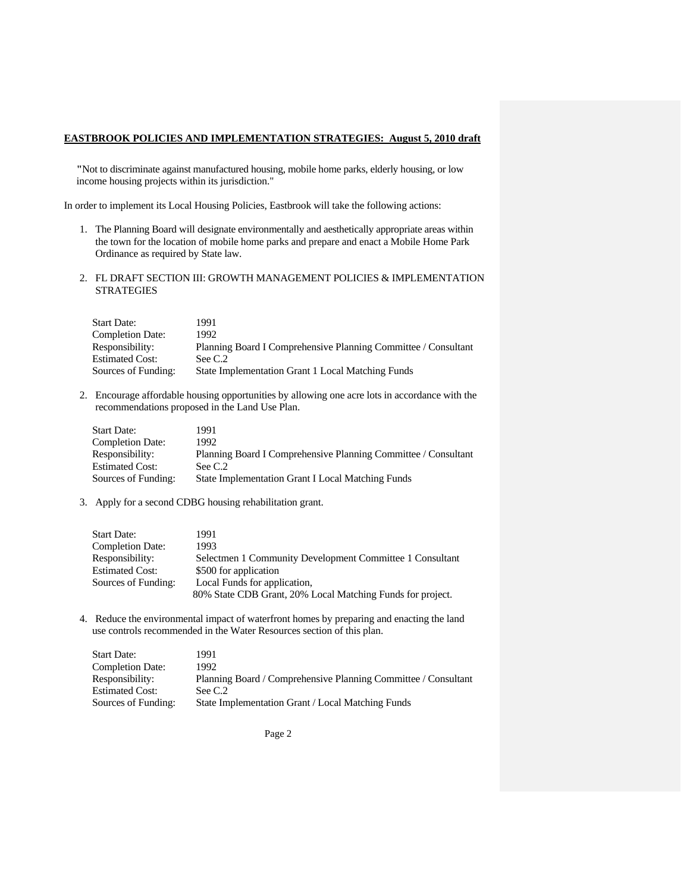**"**Not to discriminate against manufactured housing, mobile home parks, elderly housing, or low income housing projects within its jurisdiction."

In order to implement its Local Housing Policies, Eastbrook will take the following actions:

- 1. The Planning Board will designate environmentally and aesthetically appropriate areas within the town for the location of mobile home parks and prepare and enact a Mobile Home Park Ordinance as required by State law.
- 2. FL DRAFT SECTION III: GROWTH MANAGEMENT POLICIES & IMPLEMENTATION STRATEGIES

| <b>Start Date:</b>      | 1991                                                           |
|-------------------------|----------------------------------------------------------------|
| <b>Completion Date:</b> | 1992                                                           |
| Responsibility:         | Planning Board I Comprehensive Planning Committee / Consultant |
| <b>Estimated Cost:</b>  | See C.2                                                        |
| Sources of Funding:     | State Implementation Grant 1 Local Matching Funds              |

2. Encourage affordable housing opportunities by allowing one acre lots in accordance with the recommendations proposed in the Land Use Plan.

| <b>Start Date:</b>      | 1991                                                           |
|-------------------------|----------------------------------------------------------------|
| <b>Completion Date:</b> | 1992.                                                          |
| Responsibility:         | Planning Board I Comprehensive Planning Committee / Consultant |
| <b>Estimated Cost:</b>  | See C.2                                                        |
| Sources of Funding:     | <b>State Implementation Grant I Local Matching Funds</b>       |

3. Apply for a second CDBG housing rehabilitation grant.

| <b>Start Date:</b>      | 1991                                                       |
|-------------------------|------------------------------------------------------------|
| <b>Completion Date:</b> | 1993                                                       |
| Responsibility:         | Selectmen 1 Community Development Committee 1 Consultant   |
| <b>Estimated Cost:</b>  | \$500 for application                                      |
| Sources of Funding:     | Local Funds for application,                               |
|                         | 80% State CDB Grant, 20% Local Matching Funds for project. |

4. Reduce the environmental impact of waterfront homes by preparing and enacting the land use controls recommended in the Water Resources section of this plan.

| <b>Start Date:</b>      | 1991                                                           |
|-------------------------|----------------------------------------------------------------|
| <b>Completion Date:</b> | 1992.                                                          |
| Responsibility:         | Planning Board / Comprehensive Planning Committee / Consultant |
| <b>Estimated Cost:</b>  | See $C.2$                                                      |
| Sources of Funding:     | State Implementation Grant / Local Matching Funds              |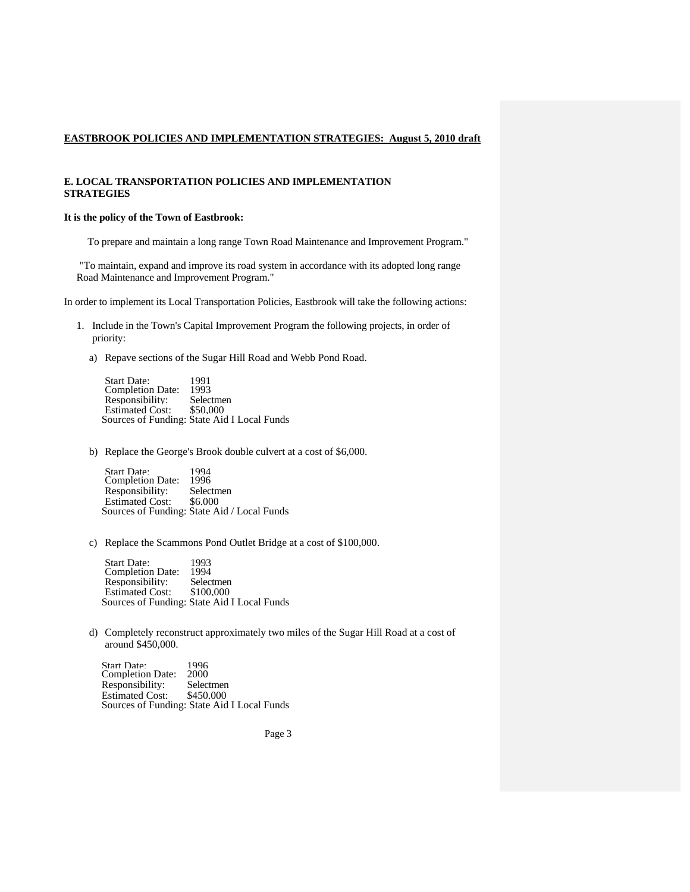#### **E. LOCAL TRANSPORTATION POLICIES AND IMPLEMENTATION STRATEGIES**

#### **It is the policy of the Town of Eastbrook:**

To prepare and maintain a long range Town Road Maintenance and Improvement Program."

"To maintain, expand and improve its road system in accordance with its adopted long range Road Maintenance and Improvement Program."

In order to implement its Local Transportation Policies, Eastbrook will take the following actions:

- 1. Include in the Town's Capital Improvement Program the following projects, in order of priority:
	- a) Repave sections of the Sugar Hill Road and Webb Pond Road.

| <b>Start Date:</b>      | 1991                                        |
|-------------------------|---------------------------------------------|
| <b>Completion Date:</b> | 1993                                        |
| Responsibility:         | Selectmen                                   |
| <b>Estimated Cost:</b>  | \$50.000                                    |
|                         | Sources of Funding: State Aid I Local Funds |

b) Replace the George's Brook double culvert at a cost of \$6,000.

Start Date: 1994 Completion Date: 1996<br>Responsibility: Selectmen Responsibility: Selectm<br>Estimated Cost: \$6.000 Estimated Cost: Sources of Funding: State Aid / Local Funds

c) Replace the Scammons Pond Outlet Bridge at a cost of \$100,000.

Start Date: 1993 Completion Date: 1994<br>Responsibility: Selectmen Responsibility: Selectmen<br>Estimated Cost: \$100.000 Estimated Cost: Sources of Funding: State Aid I Local Funds

d) Completely reconstruct approximately two miles of the Sugar Hill Road at a cost of around \$450,000.

Start Date: 1996 Completion Date: 2000 Responsibility: Selectmen<br>Estimated Cost: \$450.000 Estimated Cost: Sources of Funding: State Aid I Local Funds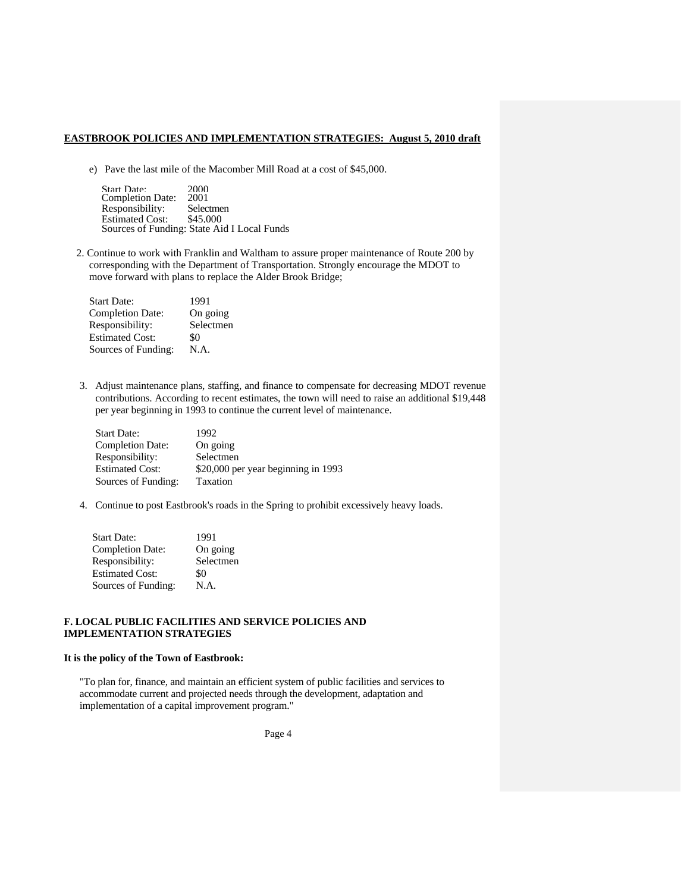e) Pave the last mile of the Macomber Mill Road at a cost of \$45,000.

| <b>Start Date:</b>      | 2000                                        |
|-------------------------|---------------------------------------------|
| <b>Completion Date:</b> | 2001                                        |
| Responsibility:         | Selectmen                                   |
| <b>Estimated Cost:</b>  | \$45.000                                    |
|                         | Sources of Funding: State Aid I Local Funds |

2. Continue to work with Franklin and Waltham to assure proper maintenance of Route 200 by corresponding with the Department of Transportation. Strongly encourage the MDOT to move forward with plans to replace the Alder Brook Bridge;

| <b>Start Date:</b>      | 1991      |
|-------------------------|-----------|
| <b>Completion Date:</b> | On going  |
| Responsibility:         | Selectmen |
| <b>Estimated Cost:</b>  | \$0       |
| Sources of Funding:     | N.A.      |

3. Adjust maintenance plans, staffing, and finance to compensate for decreasing MDOT revenue contributions. According to recent estimates, the town will need to raise an additional \$19,448 per year beginning in 1993 to continue the current level of maintenance.

| <b>Start Date:</b>      | 1992.                               |
|-------------------------|-------------------------------------|
| <b>Completion Date:</b> | On going                            |
| Responsibility:         | Selectmen                           |
| <b>Estimated Cost:</b>  | \$20,000 per year beginning in 1993 |
| Sources of Funding:     | Taxation                            |

4. Continue to post Eastbrook's roads in the Spring to prohibit excessively heavy loads.

| Start Date:             | 1991      |
|-------------------------|-----------|
| <b>Completion Date:</b> | On going  |
| Responsibility:         | Selectmen |
| <b>Estimated Cost:</b>  | \$0       |
| Sources of Funding:     | N.A.      |

#### **F. LOCAL PUBLIC FACILITIES AND SERVICE POLICIES AND IMPLEMENTATION STRATEGIES**

#### **It is the policy of the Town of Eastbrook:**

"To plan for, finance, and maintain an efficient system of public facilities and services to accommodate current and projected needs through the development, adaptation and implementation of a capital improvement program."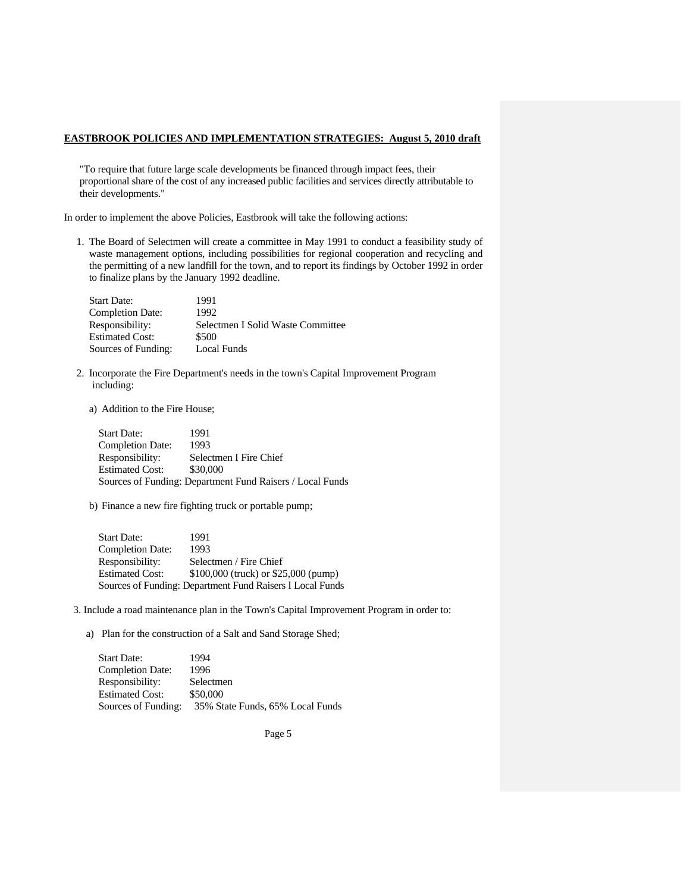"To require that future large scale developments be financed through impact fees, their proportional share of the cost of any increased public facilities and services directly attributable to their developments."

In order to implement the above Policies, Eastbrook will take the following actions:

1. The Board of Selectmen will create a committee in May 1991 to conduct a feasibility study of waste management options, including possibilities for regional cooperation and recycling and the permitting of a new landfill for the town, and to report its findings by October 1992 in order to finalize plans by the January 1992 deadline.

| <b>Start Date:</b>      | 1991                              |
|-------------------------|-----------------------------------|
| <b>Completion Date:</b> | 1992                              |
| Responsibility:         | Selectmen I Solid Waste Committee |
| <b>Estimated Cost:</b>  | \$500                             |
| Sources of Funding:     | Local Funds                       |

- 2. Incorporate the Fire Department's needs in the town's Capital Improvement Program including:
	- a) Addition to the Fire House;

Start Date: 1991<br>Completion Date: 1993 Completion Date: Responsibility: Selectmen I Fire Chief Estimated Cost: \$30,000 Sources of Funding: Department Fund Raisers / Local Funds

b) Finance a new fire fighting truck or portable pump;

Start Date: 1991 Completion Date: 1993 Responsibility: Selectmen / Fire Chief Estimated Cost: \$100,000 (truck) or \$25,000 (pump) Sources of Funding: Department Fund Raisers I Local Funds

3. Include a road maintenance plan in the Town's Capital Improvement Program in order to:

a) Plan for the construction of a Salt and Sand Storage Shed;

| <b>Start Date:</b>      | 1994                             |
|-------------------------|----------------------------------|
| <b>Completion Date:</b> | 1996                             |
| Responsibility:         | Selectmen                        |
| <b>Estimated Cost:</b>  | \$50,000                         |
| Sources of Funding:     | 35% State Funds, 65% Local Funds |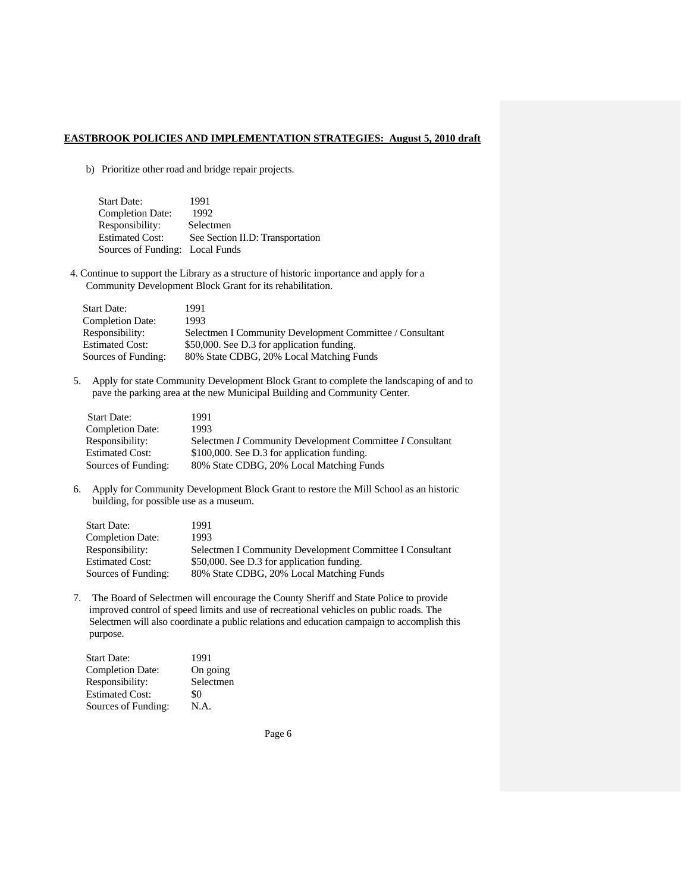b) Prioritize other road and bridge repair projects.

| <b>Start Date:</b>              | 1991                             |
|---------------------------------|----------------------------------|
| <b>Completion Date:</b>         | 1992                             |
| Responsibility:                 | Selectmen                        |
| <b>Estimated Cost:</b>          | See Section II.D: Transportation |
| Sources of Funding: Local Funds |                                  |

4. Continue to support the Library as a structure of historic importance and apply for a Community Development Block Grant for its rehabilitation.

| <b>Start Date:</b>      | 1991                                                     |
|-------------------------|----------------------------------------------------------|
| <b>Completion Date:</b> | 1993                                                     |
| Responsibility:         | Selectmen I Community Development Committee / Consultant |
| <b>Estimated Cost:</b>  | \$50,000. See D.3 for application funding.               |
| Sources of Funding:     | 80% State CDBG, 20% Local Matching Funds                 |

5. Apply for state Community Development Block Grant to complete the landscaping of and to pave the parking area at the new Municipal Building and Community Center.

| <b>Start Date:</b>      | 1991                                                     |
|-------------------------|----------------------------------------------------------|
| <b>Completion Date:</b> | 1993                                                     |
| Responsibility:         | Selectmen I Community Development Committee I Consultant |
| <b>Estimated Cost:</b>  | \$100,000. See D.3 for application funding.              |
| Sources of Funding:     | 80% State CDBG, 20% Local Matching Funds                 |
|                         |                                                          |

6. Apply for Community Development Block Grant to restore the Mill School as an historic building, for possible use as a museum.

| <b>Start Date:</b>      | 1991                                                     |
|-------------------------|----------------------------------------------------------|
| <b>Completion Date:</b> | 1993                                                     |
| Responsibility:         | Selectmen I Community Development Committee I Consultant |
| <b>Estimated Cost:</b>  | \$50,000. See D.3 for application funding.               |
| Sources of Funding:     | 80% State CDBG, 20% Local Matching Funds                 |

7. The Board of Selectmen will encourage the County Sheriff and State Police to provide improved control of speed limits and use of recreational vehicles on public roads. The Selectmen will also coordinate a public relations and education campaign to accomplish this purpose.

| Start Date:             | 1991      |
|-------------------------|-----------|
| <b>Completion Date:</b> | On going  |
| Responsibility:         | Selectmen |
| Estimated Cost:         | \$0       |
| Sources of Funding:     | N.A.      |
|                         |           |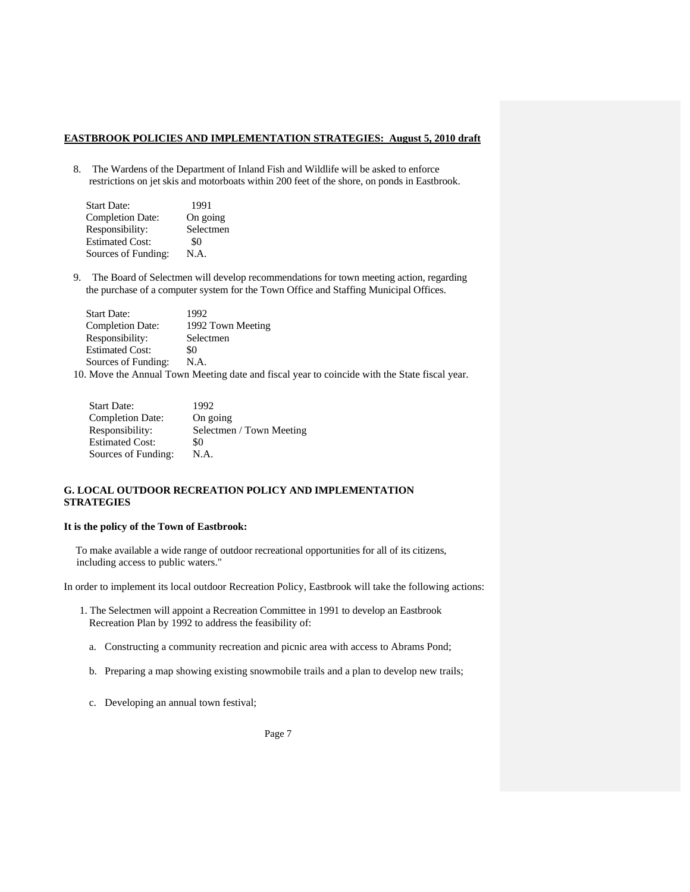8. The Wardens of the Department of Inland Fish and Wildlife will be asked to enforce restrictions on jet skis and motorboats within 200 feet of the shore, on ponds in Eastbrook.

| 1991      |
|-----------|
| On going  |
| Selectmen |
| \$0       |
| N.A.      |
|           |

9. The Board of Selectmen will develop recommendations for town meeting action, regarding the purchase of a computer system for the Town Office and Staffing Municipal Offices.

| <b>Start Date:</b>      | 1992                                                                                                                                                                                                                                                                                             |
|-------------------------|--------------------------------------------------------------------------------------------------------------------------------------------------------------------------------------------------------------------------------------------------------------------------------------------------|
| <b>Completion Date:</b> | 1992 Town Meeting                                                                                                                                                                                                                                                                                |
| Responsibility:         | Selectmen                                                                                                                                                                                                                                                                                        |
| <b>Estimated Cost:</b>  | \$0                                                                                                                                                                                                                                                                                              |
| Sources of Funding:     | N.A.                                                                                                                                                                                                                                                                                             |
|                         | $\mathbf{M}$ and $\mathbf{M}$ and $\mathbf{M}$ and $\mathbf{M}$ and $\mathbf{M}$ and $\mathbf{M}$ and $\mathbf{M}$ and $\mathbf{M}$ and $\mathbf{M}$ and $\mathbf{M}$ and $\mathbf{M}$ and $\mathbf{M}$ and $\mathbf{M}$ and $\mathbf{M}$ and $\mathbf{M}$ and $\mathbf{M}$ and $\mathbf{M}$ and |

10. Move the Annual Town Meeting date and fiscal year to coincide with the State fiscal year.

| <b>Start Date:</b>      | 1992                     |
|-------------------------|--------------------------|
| <b>Completion Date:</b> | On going                 |
| Responsibility:         | Selectmen / Town Meeting |
| <b>Estimated Cost:</b>  | \$0                      |
| Sources of Funding:     | N.A.                     |

#### **G. LOCAL OUTDOOR RECREATION POLICY AND IMPLEMENTATION STRATEGIES**

### **It is the policy of the Town of Eastbrook:**

To make available a wide range of outdoor recreational opportunities for all of its citizens, including access to public waters."

In order to implement its local outdoor Recreation Policy, Eastbrook will take the following actions:

- 1. The Selectmen will appoint a Recreation Committee in 1991 to develop an Eastbrook Recreation Plan by 1992 to address the feasibility of:
	- a. Constructing a community recreation and picnic area with access to Abrams Pond;
	- b. Preparing a map showing existing snowmobile trails and a plan to develop new trails;
	- c. Developing an annual town festival;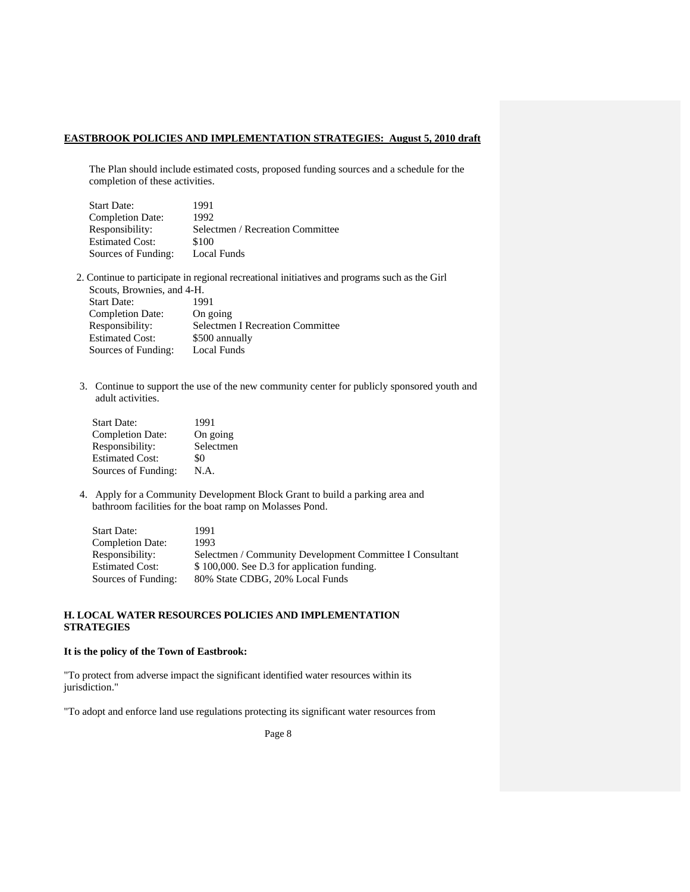The Plan should include estimated costs, proposed funding sources and a schedule for the completion of these activities.

| <b>Start Date:</b>      | 1991                             |
|-------------------------|----------------------------------|
| <b>Completion Date:</b> | 1992                             |
| Responsibility:         | Selectmen / Recreation Committee |
| <b>Estimated Cost:</b>  | \$100                            |
| Sources of Funding:     | Local Funds                      |

- 2. Continue to participate in regional recreational initiatives and programs such as the Girl Scouts, Brownies, and 4-H. Start Date: 1991 Completion Date: On going Responsibility: Selectmen I Recreation Committee<br>Estimated Cost: \$500 annually \$500 annually
- 3. Continue to support the use of the new community center for publicly sponsored youth and adult activities.

| <b>Start Date:</b>      | 1991      |
|-------------------------|-----------|
| <b>Completion Date:</b> | On going  |
| Responsibility:         | Selectmen |
| <b>Estimated Cost:</b>  | \$0       |
| Sources of Funding:     | N.A.      |

Sources of Funding: Local Funds

4. Apply for a Community Development Block Grant to build a parking area and bathroom facilities for the boat ramp on Molasses Pond.

| <b>Start Date:</b>      | 1991                                                     |
|-------------------------|----------------------------------------------------------|
| <b>Completion Date:</b> | 1993                                                     |
| Responsibility:         | Selectmen / Community Development Committee I Consultant |
| <b>Estimated Cost:</b>  | \$100,000. See D.3 for application funding.              |
| Sources of Funding:     | 80% State CDBG, 20% Local Funds                          |

### **H. LOCAL WATER RESOURCES POLICIES AND IMPLEMENTATION STRATEGIES**

#### **It is the policy of the Town of Eastbrook:**

"To protect from adverse impact the significant identified water resources within its jurisdiction."

"To adopt and enforce land use regulations protecting its significant water resources from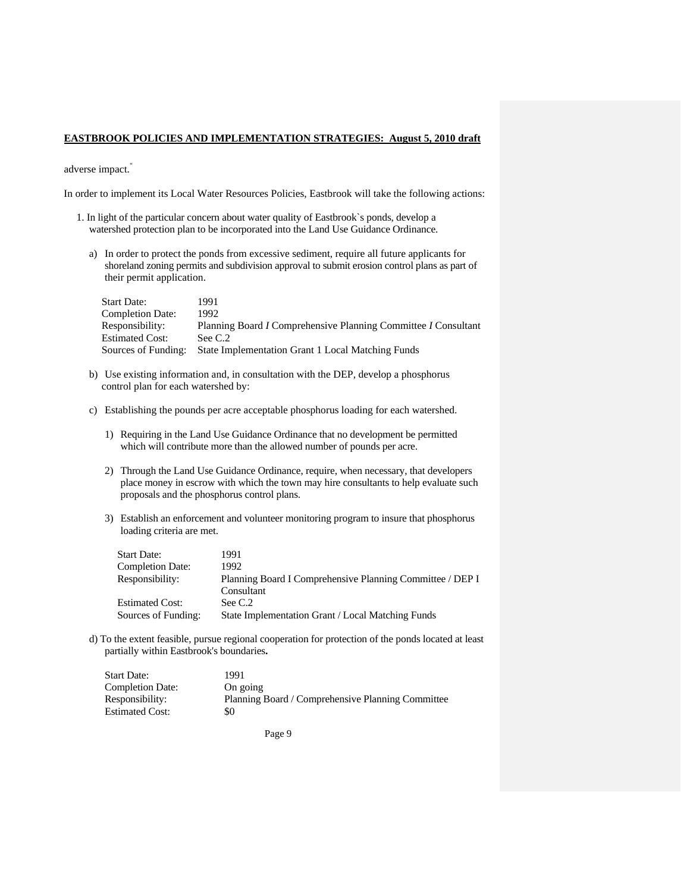adverse impact."

In order to implement its Local Water Resources Policies, Eastbrook will take the following actions:

- 1. In light of the particular concern about water quality of Eastbrook`s ponds, develop a watershed protection plan to be incorporated into the Land Use Guidance Ordinance.
	- a) In order to protect the ponds from excessive sediment, require all future applicants for shoreland zoning permits and subdivision approval to submit erosion control plans as part of their permit application.

| <b>Start Date:</b>      | 1991                                                           |
|-------------------------|----------------------------------------------------------------|
| <b>Completion Date:</b> | 1992.                                                          |
| Responsibility:         | Planning Board I Comprehensive Planning Committee I Consultant |
| <b>Estimated Cost:</b>  | See C.2                                                        |
| Sources of Funding:     | State Implementation Grant 1 Local Matching Funds              |

- b) Use existing information and, in consultation with the DEP, develop a phosphorus control plan for each watershed by:
- c) Establishing the pounds per acre acceptable phosphorus loading for each watershed.
	- 1) Requiring in the Land Use Guidance Ordinance that no development be permitted which will contribute more than the allowed number of pounds per acre.
	- 2) Through the Land Use Guidance Ordinance, require, when necessary, that developers place money in escrow with which the town may hire consultants to help evaluate such proposals and the phosphorus control plans.
	- 3) Establish an enforcement and volunteer monitoring program to insure that phosphorus loading criteria are met.

| <b>Start Date:</b>      | 1991                                                      |
|-------------------------|-----------------------------------------------------------|
| <b>Completion Date:</b> | 1992                                                      |
| Responsibility:         | Planning Board I Comprehensive Planning Committee / DEP I |
|                         | Consultant                                                |
| <b>Estimated Cost:</b>  | See C.2                                                   |
| Sources of Funding:     | State Implementation Grant / Local Matching Funds         |

d) To the extent feasible, pursue regional cooperation for protection of the ponds located at least partially within Eastbrook's boundaries**.** 

| Start Date:      | 1991                                              |
|------------------|---------------------------------------------------|
| Completion Date: | On going                                          |
| Responsibility:  | Planning Board / Comprehensive Planning Committee |
| Estimated Cost:  | \$0                                               |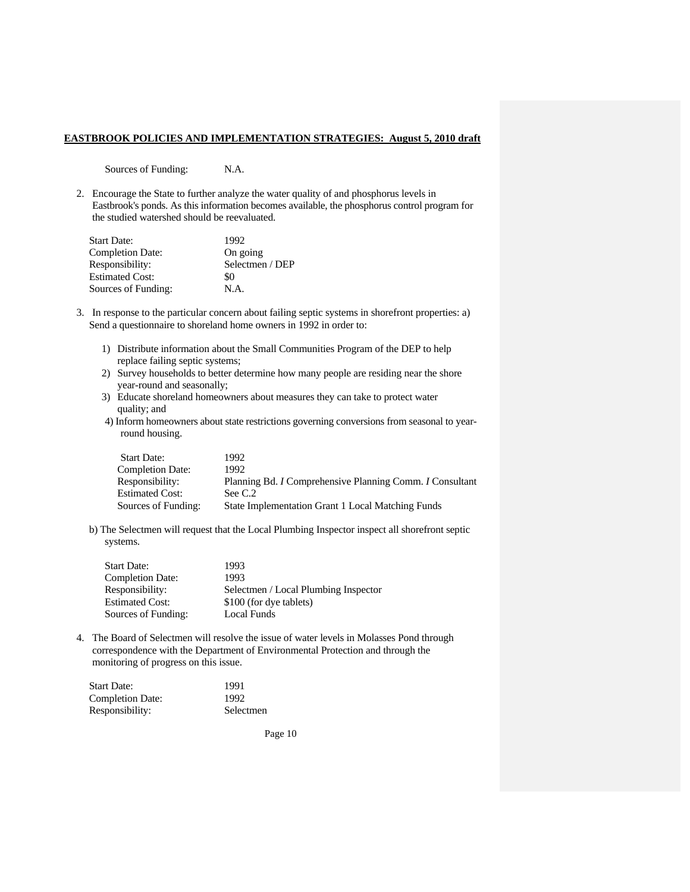Sources of Funding: N.A.

2. Encourage the State to further analyze the water quality of and phosphorus levels in Eastbrook's ponds. As this information becomes available, the phosphorus control program for the studied watershed should be reevaluated.

| <b>Start Date:</b>      | 1992            |
|-------------------------|-----------------|
| <b>Completion Date:</b> | On going        |
| Responsibility:         | Selectmen / DEP |
| <b>Estimated Cost:</b>  | \$0             |
| Sources of Funding:     | N.A.            |

- 3. In response to the particular concern about failing septic systems in shorefront properties: a) Send a questionnaire to shoreland home owners in 1992 in order to:
	- 1) Distribute information about the Small Communities Program of the DEP to help replace failing septic systems;
	- 2) Survey households to better determine how many people are residing near the shore year-round and seasonally;
	- 3) Educate shoreland homeowners about measures they can take to protect water quality; and
	- 4) Inform homeowners about state restrictions governing conversions from seasonal to yearround housing.

| <b>Start Date:</b>      | 1992.                                                                  |
|-------------------------|------------------------------------------------------------------------|
| <b>Completion Date:</b> | 1992                                                                   |
| Responsibility:         | Planning Bd. <i>I</i> Comprehensive Planning Comm. <i>I</i> Consultant |
| <b>Estimated Cost:</b>  | See C.2                                                                |
| Sources of Funding:     | <b>State Implementation Grant 1 Local Matching Funds</b>               |

b) The Selectmen will request that the Local Plumbing Inspector inspect all shorefront septic systems.

| <b>Start Date:</b>      | 1993                                 |
|-------------------------|--------------------------------------|
| <b>Completion Date:</b> | 1993                                 |
| Responsibility:         | Selectmen / Local Plumbing Inspector |
| <b>Estimated Cost:</b>  | \$100 (for dye tablets)              |
| Sources of Funding:     | Local Funds                          |

4. The Board of Selectmen will resolve the issue of water levels in Molasses Pond through correspondence with the Department of Environmental Protection and through the monitoring of progress on this issue.

| Start Date:             | 1991      |
|-------------------------|-----------|
| <b>Completion Date:</b> | 1992      |
| Responsibility:         | Selectmen |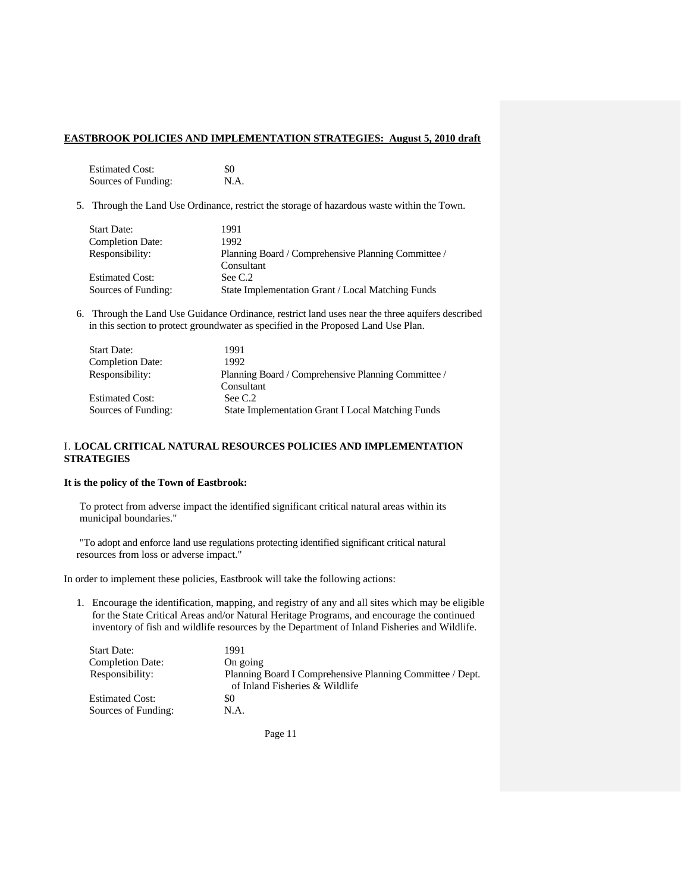Estimated Cost: \$0 Sources of Funding: N.A.

5. Through the Land Use Ordinance, restrict the storage of hazardous waste within the Town.

| <b>Start Date:</b>      | 1991                                                |
|-------------------------|-----------------------------------------------------|
| <b>Completion Date:</b> | 1992                                                |
| Responsibility:         | Planning Board / Comprehensive Planning Committee / |
|                         | Consultant                                          |
| <b>Estimated Cost:</b>  | See C.2                                             |
| Sources of Funding:     | State Implementation Grant / Local Matching Funds   |

6. Through the Land Use Guidance Ordinance, restrict land uses near the three aquifers described in this section to protect groundwater as specified in the Proposed Land Use Plan.

| <b>Start Date:</b>      | 1991                                                     |
|-------------------------|----------------------------------------------------------|
| <b>Completion Date:</b> | 1992                                                     |
| Responsibility:         | Planning Board / Comprehensive Planning Committee /      |
|                         | Consultant                                               |
| <b>Estimated Cost:</b>  | See C.2                                                  |
| Sources of Funding:     | <b>State Implementation Grant I Local Matching Funds</b> |

### I. **LOCAL CRITICAL NATURAL RESOURCES POLICIES AND IMPLEMENTATION STRATEGIES**

### **It is the policy of the Town of Eastbrook:**

To protect from adverse impact the identified significant critical natural areas within its municipal boundaries."

"To adopt and enforce land use regulations protecting identified significant critical natural resources from loss or adverse impact."

In order to implement these policies, Eastbrook will take the following actions:

1. Encourage the identification, mapping, and registry of any and all sites which may be eligible for the State Critical Areas and/or Natural Heritage Programs, and encourage the continued inventory of fish and wildlife resources by the Department of Inland Fisheries and Wildlife.

| <b>Start Date:</b>      | 1991                                                                                        |
|-------------------------|---------------------------------------------------------------------------------------------|
| <b>Completion Date:</b> | On going                                                                                    |
| Responsibility:         | Planning Board I Comprehensive Planning Committee / Dept.<br>of Inland Fisheries & Wildlife |
| <b>Estimated Cost:</b>  | \$0                                                                                         |
| Sources of Funding:     | N.A.                                                                                        |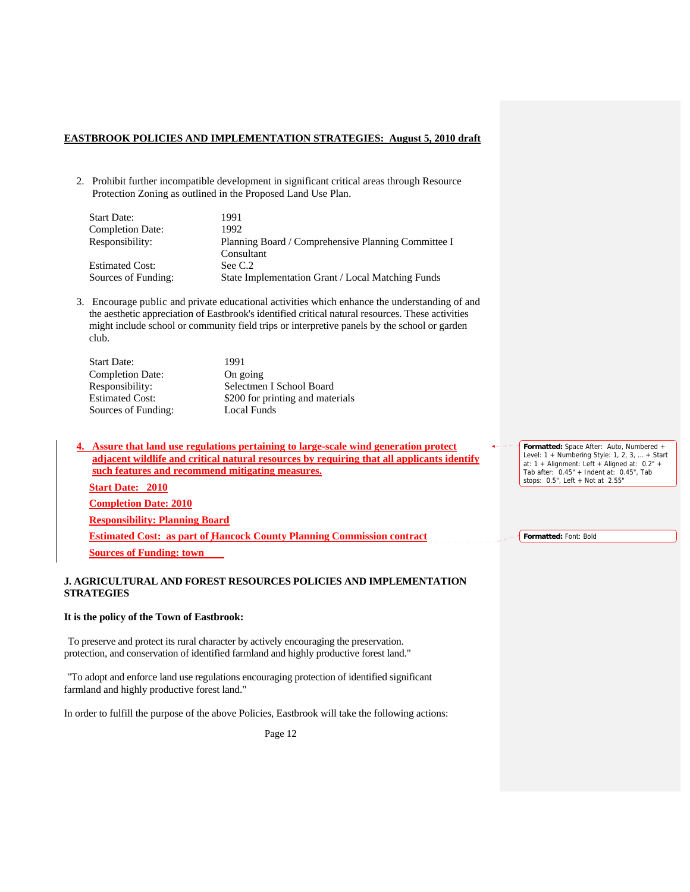2. Prohibit further incompatible development in significant critical areas through Resource Protection Zoning as outlined in the Proposed Land Use Plan.

| <b>Start Date:</b>      | 1991                                                |
|-------------------------|-----------------------------------------------------|
| <b>Completion Date:</b> | 1992                                                |
| Responsibility:         | Planning Board / Comprehensive Planning Committee I |
|                         | Consultant                                          |
| <b>Estimated Cost:</b>  | See C.2                                             |
| Sources of Funding:     | State Implementation Grant / Local Matching Funds   |

3. Encourage public and private educational activities which enhance the understanding of and the aesthetic appreciation of Eastbrook's identified critical natural resources. These activities might include school or community field trips or interpretive panels by the school or garden club.

| <b>Start Date:</b>      | 1991                             |
|-------------------------|----------------------------------|
| <b>Completion Date:</b> | On going                         |
| Responsibility:         | Selectmen I School Board         |
| <b>Estimated Cost:</b>  | \$200 for printing and materials |
| Sources of Funding:     | Local Funds                      |

**4. Assure that land use regulations pertaining to large-scale wind generation protect adjacent wildlife and critical natural resources by requiring that all applicants identify such features and recommend mitigating measures. Start Date: 2010 Completion Date: 2010**

**Responsibility: Planning Board**

**Estimated Cost: as part of Hancock County Planning Commission contract Sources of Funding: town** 

#### **J. AGRICULTURAL AND FOREST RESOURCES POLICIES AND IMPLEMENTATION STRATEGIES**

#### **It is the policy of the Town of Eastbrook:**

To preserve and protect its rural character by actively encouraging the preservation. protection, and conservation of identified farmland and highly productive forest land."

"To adopt and enforce land use regulations encouraging protection of identified significant farmland and highly productive forest land."

In order to fulfill the purpose of the above Policies, Eastbrook will take the following actions:

Page 12

**Formatted:** Space After: Auto, Numbered + Level: 1 + Numbering Style: 1, 2, 3, … + Start at: 1 + Alignment: Left + Aligned at: 0.2" + Tab after: 0.45" + Indent at: 0.45", Tab stops: 0.5", Left + Not at 2.55"

**Formatted:** Font: Bold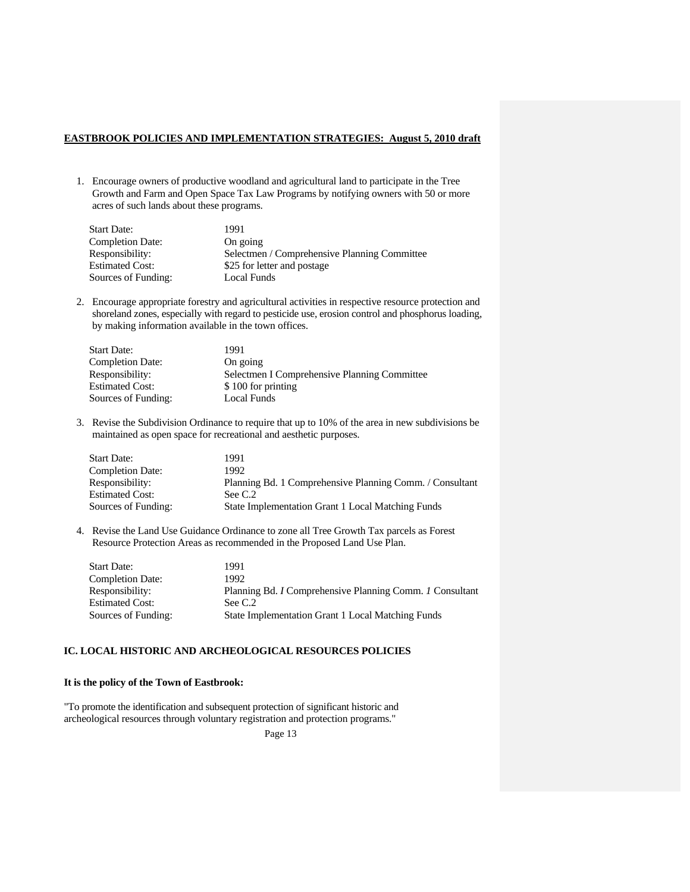1. Encourage owners of productive woodland and agricultural land to participate in the Tree Growth and Farm and Open Space Tax Law Programs by notifying owners with 50 or more acres of such lands about these programs.

| <b>Start Date:</b>      | 1991                                         |
|-------------------------|----------------------------------------------|
| <b>Completion Date:</b> | On going                                     |
| Responsibility:         | Selectmen / Comprehensive Planning Committee |
| <b>Estimated Cost:</b>  | \$25 for letter and postage                  |
| Sources of Funding:     | Local Funds                                  |

2. Encourage appropriate forestry and agricultural activities in respective resource protection and shoreland zones, especially with regard to pesticide use, erosion control and phosphorus loading, by making information available in the town offices.

| <b>Start Date:</b>      | 1991                                         |
|-------------------------|----------------------------------------------|
| <b>Completion Date:</b> | On going                                     |
| Responsibility:         | Selectmen I Comprehensive Planning Committee |
| <b>Estimated Cost:</b>  | \$100 for printing                           |
| Sources of Funding:     | Local Funds                                  |

3. Revise the Subdivision Ordinance to require that up to 10% of the area in new subdivisions be maintained as open space for recreational and aesthetic purposes.

| <b>Start Date:</b>      | 1991                                                     |
|-------------------------|----------------------------------------------------------|
| <b>Completion Date:</b> | 1992.                                                    |
| Responsibility:         | Planning Bd. 1 Comprehensive Planning Comm. / Consultant |
| <b>Estimated Cost:</b>  | See C.2                                                  |
| Sources of Funding:     | State Implementation Grant 1 Local Matching Funds        |

4. Revise the Land Use Guidance Ordinance to zone all Tree Growth Tax parcels as Forest Resource Protection Areas as recommended in the Proposed Land Use Plan.

| <b>Start Date:</b>      | 1991                                                     |
|-------------------------|----------------------------------------------------------|
| <b>Completion Date:</b> | 1992.                                                    |
| Responsibility:         | Planning Bd. I Comprehensive Planning Comm. 1 Consultant |
| <b>Estimated Cost:</b>  | See C.2                                                  |
| Sources of Funding:     | <b>State Implementation Grant 1 Local Matching Funds</b> |

### **IC. LOCAL HISTORIC AND ARCHEOLOGICAL RESOURCES POLICIES**

#### **It is the policy of the Town of Eastbrook:**

"To promote the identification and subsequent protection of significant historic and archeological resources through voluntary registration and protection programs."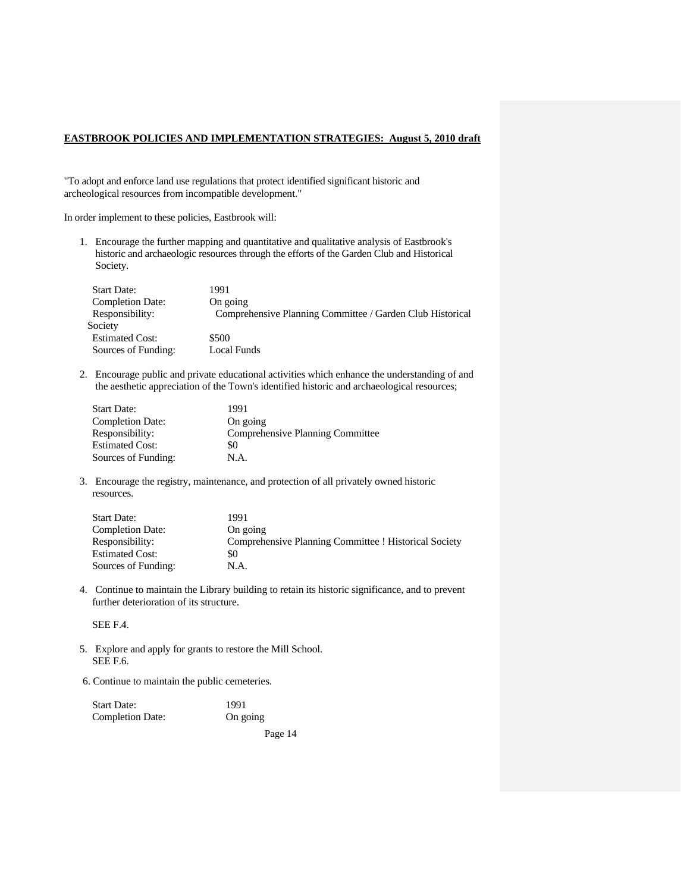"To adopt and enforce land use regulations that protect identified significant historic and archeological resources from incompatible development."

In order implement to these policies, Eastbrook will:

1. Encourage the further mapping and quantitative and qualitative analysis of Eastbrook's historic and archaeologic resources through the efforts of the Garden Club and Historical Society.

| <b>Start Date:</b>      | 1991                                                      |
|-------------------------|-----------------------------------------------------------|
| <b>Completion Date:</b> | On going                                                  |
| Responsibility:         | Comprehensive Planning Committee / Garden Club Historical |
| Society                 |                                                           |
| <b>Estimated Cost:</b>  | \$500                                                     |
| Sources of Funding:     | Local Funds                                               |

2. Encourage public and private educational activities which enhance the understanding of and the aesthetic appreciation of the Town's identified historic and archaeological resources;

| 1991                             |
|----------------------------------|
| On going                         |
| Comprehensive Planning Committee |
| \$0                              |
| N.A.                             |
|                                  |

3. Encourage the registry, maintenance, and protection of all privately owned historic resources.

| <b>Start Date:</b>      | 1991                                                  |
|-------------------------|-------------------------------------------------------|
| <b>Completion Date:</b> | On going                                              |
| Responsibility:         | Comprehensive Planning Committee ! Historical Society |
| <b>Estimated Cost:</b>  | \$0                                                   |
| Sources of Funding:     | N.A.                                                  |

4. Continue to maintain the Library building to retain its historic significance, and to prevent further deterioration of its structure.

SEE F.4.

- 5. Explore and apply for grants to restore the Mill School. SEE F.6.
- 6. Continue to maintain the public cemeteries.

| <b>Start Date:</b>      | 1991     |
|-------------------------|----------|
| <b>Completion Date:</b> | On going |
|                         | Page 14  |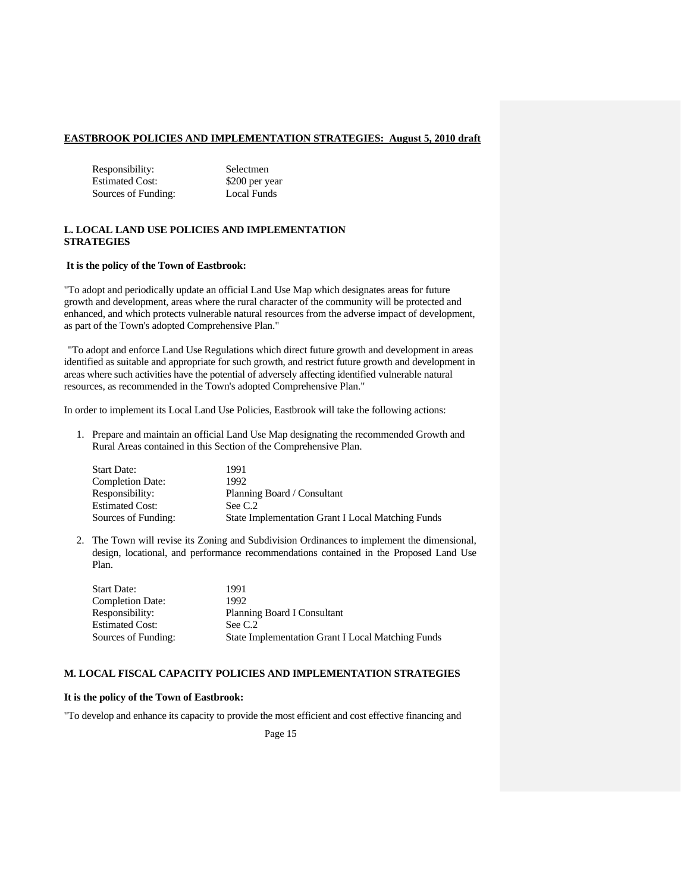Responsibility: Selectmen Estimated Cost: \$200 per year Sources of Funding: Local Funds

#### **L. LOCAL LAND USE POLICIES AND IMPLEMENTATION STRATEGIES**

#### **It is the policy of the Town of Eastbrook:**

"To adopt and periodically update an official Land Use Map which designates areas for future growth and development, areas where the rural character of the community will be protected and enhanced, and which protects vulnerable natural resources from the adverse impact of development, as part of the Town's adopted Comprehensive Plan."

"To adopt and enforce Land Use Regulations which direct future growth and development in areas identified as suitable and appropriate for such growth, and restrict future growth and development in areas where such activities have the potential of adversely affecting identified vulnerable natural resources, as recommended in the Town's adopted Comprehensive Plan."

In order to implement its Local Land Use Policies, Eastbrook will take the following actions:

1. Prepare and maintain an official Land Use Map designating the recommended Growth and Rural Areas contained in this Section of the Comprehensive Plan.

| <b>Start Date:</b>      | 1991                                                     |
|-------------------------|----------------------------------------------------------|
| <b>Completion Date:</b> | 1992                                                     |
| Responsibility:         | Planning Board / Consultant                              |
| <b>Estimated Cost:</b>  | See C.2                                                  |
| Sources of Funding:     | <b>State Implementation Grant I Local Matching Funds</b> |

2. The Town will revise its Zoning and Subdivision Ordinances to implement the dimensional, design, locational, and performance recommendations contained in the Proposed Land Use Plan.

| <b>Start Date:</b>      | 1991                                                     |
|-------------------------|----------------------------------------------------------|
| <b>Completion Date:</b> | 1992                                                     |
| Responsibility:         | Planning Board I Consultant                              |
| <b>Estimated Cost:</b>  | See C.2                                                  |
| Sources of Funding:     | <b>State Implementation Grant I Local Matching Funds</b> |

### **M. LOCAL FISCAL CAPACITY POLICIES AND IMPLEMENTATION STRATEGIES**

### **It is the policy of the Town of Eastbrook:**

"To develop and enhance its capacity to provide the most efficient and cost effective financing and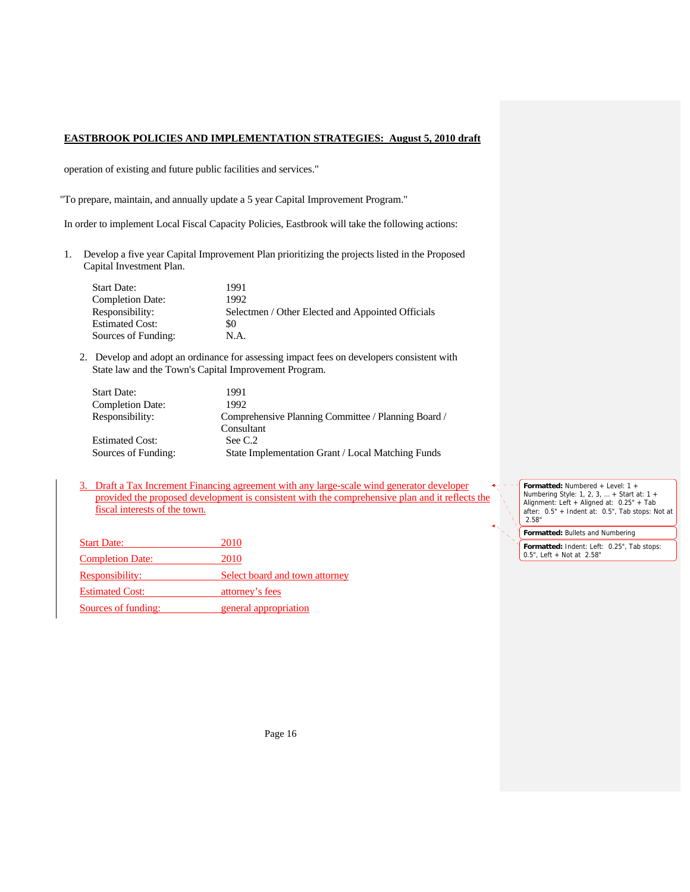operation of existing and future public facilities and services."

"To prepare, maintain, and annually update a 5 year Capital Improvement Program."

In order to implement Local Fiscal Capacity Policies, Eastbrook will take the following actions:

1. Develop a five year Capital Improvement Plan prioritizing the projects listed in the Proposed Capital Investment Plan.

| Start Date:             | 1991                                              |
|-------------------------|---------------------------------------------------|
| <b>Completion Date:</b> | 1992                                              |
| Responsibility:         | Selectmen / Other Elected and Appointed Officials |
| Estimated Cost:         | \$0                                               |
| Sources of Funding:     | N.A.                                              |

2. Develop and adopt an ordinance for assessing impact fees on developers consistent with State law and the Town's Capital Improvement Program.

| <b>Start Date:</b>      | 1991                                                |
|-------------------------|-----------------------------------------------------|
| <b>Completion Date:</b> | 1992                                                |
| Responsibility:         | Comprehensive Planning Committee / Planning Board / |
|                         | Consultant                                          |
| <b>Estimated Cost:</b>  | See C.2                                             |
| Sources of Funding:     | State Implementation Grant / Local Matching Funds   |

3. Draft a Tax Increment Financing agreement with any large-scale wind generator developer provided the proposed development is consistent with the comprehensive plan and it reflects the fiscal interests of the town.

| <b>Start Date:</b>      | 2010                           |
|-------------------------|--------------------------------|
| <b>Completion Date:</b> | 2010                           |
| Responsibility:         | Select board and town attorney |
| <b>Estimated Cost:</b>  | attorney's fees                |
| Sources of funding:     | general appropriation          |

**Formatted:** Numbered + Level: 1 + Numbering Style: 1, 2, 3, … + Start at: 1 + Alignment: Left + Aligned at: 0.25" + Tab after: 0.5" + Indent at: 0.5", Tab stops: Not at 2.58"

**Formatted:** Bullets and Numbering

**Formatted:** Indent: Left: 0.25", Tab stops: 0.5", Left + Not at 2.58"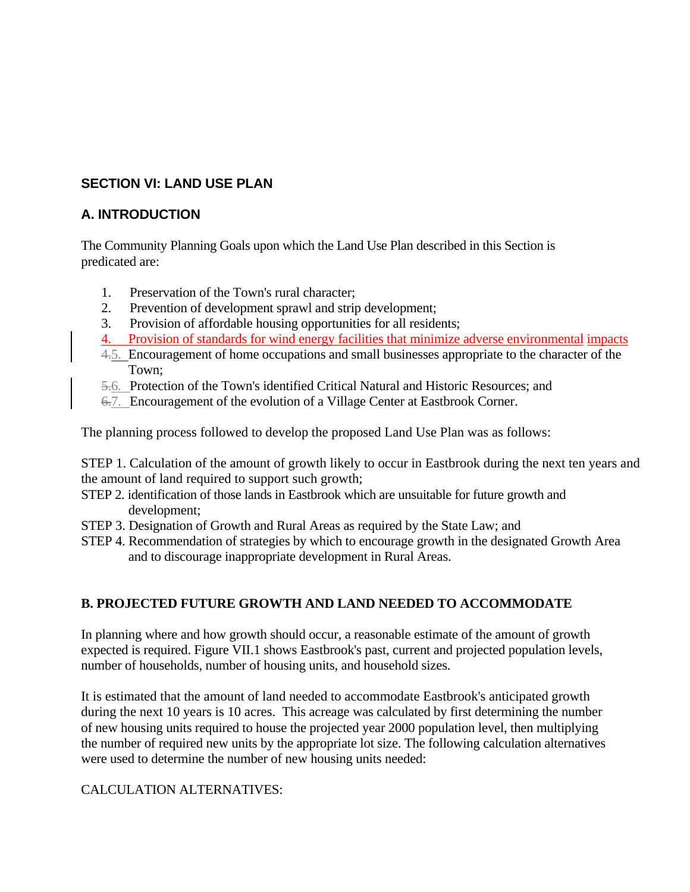# **SECTION VI: LAND USE PLAN**

# **A. INTRODUCTION**

The Community Planning Goals upon which the Land Use Plan described in this Section is predicated are:

- 1. Preservation of the Town's rural character;
- 2. Prevention of development sprawl and strip development;
- 3. Provision of affordable housing opportunities for all residents;
- 4. Provision of standards for wind energy facilities that minimize adverse environmental impacts
- 4.5. Encouragement of home occupations and small businesses appropriate to the character of the Town;
- 5.6. Protection of the Town's identified Critical Natural and Historic Resources; and
- 6.7. Encouragement of the evolution of a Village Center at Eastbrook Corner.

The planning process followed to develop the proposed Land Use Plan was as follows:

STEP 1. Calculation of the amount of growth likely to occur in Eastbrook during the next ten years and the amount of land required to support such growth;

- STEP 2. identification of those lands in Eastbrook which are unsuitable for future growth and development;
- STEP 3. Designation of Growth and Rural Areas as required by the State Law; and
- STEP 4. Recommendation of strategies by which to encourage growth in the designated Growth Area and to discourage inappropriate development in Rural Areas.

# **B. PROJECTED FUTURE GROWTH AND LAND NEEDED TO ACCOMMODATE**

In planning where and how growth should occur, a reasonable estimate of the amount of growth expected is required. Figure VII.1 shows Eastbrook's past, current and projected population levels, number of households, number of housing units, and household sizes.

It is estimated that the amount of land needed to accommodate Eastbrook's anticipated growth during the next 10 years is 10 acres. This acreage was calculated by first determining the number of new housing units required to house the projected year 2000 population level, then multiplying the number of required new units by the appropriate lot size. The following calculation alternatives were used to determine the number of new housing units needed:

# CALCULATION ALTERNATIVES: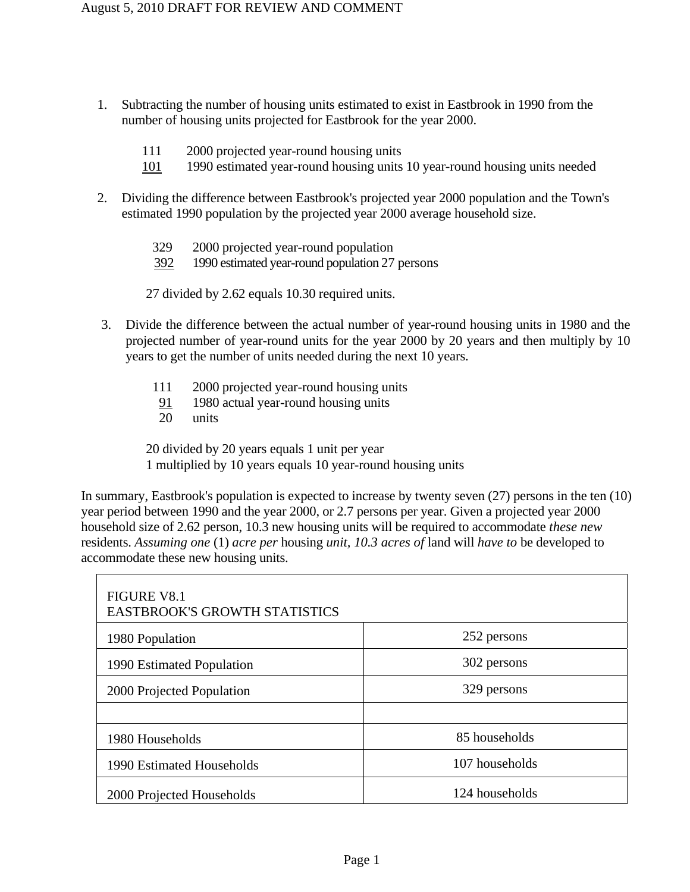- 1. Subtracting the number of housing units estimated to exist in Eastbrook in 1990 from the number of housing units projected for Eastbrook for the year 2000.
	- 111 2000 projected year-round housing units
	- 101 1990 estimated year-round housing units 10 year-round housing units needed
- 2. Dividing the difference between Eastbrook's projected year 2000 population and the Town's estimated 1990 population by the projected year 2000 average household size.
	- 329 2000 projected year-round population
	- 392 1990 estimated year-round population 27 persons

27 divided by 2.62 equals 10.30 required units.

- 3. Divide the difference between the actual number of year-round housing units in 1980 and the projected number of year-round units for the year 2000 by 20 years and then multiply by 10 years to get the number of units needed during the next 10 years.
	- 111 2000 projected year-round housing units
	- $\frac{91}{20}$  1980 actual year-round housing units
	- units

20 divided by 20 years equals 1 unit per year 1 multiplied by 10 years equals 10 year-round housing units

In summary, Eastbrook's population is expected to increase by twenty seven (27) persons in the ten (10) year period between 1990 and the year 2000, or 2.7 persons per year. Given a projected year 2000 household size of 2.62 person, 10.3 new housing units will be required to accommodate *these new*  residents. *Assuming one* (1) *acre per* housing *unit, 10.3 acres of* land will *have to* be developed to accommodate these new housing units.

| <b>FIGURE V8.1</b><br><b>EASTBROOK'S GROWTH STATISTICS</b> |                |
|------------------------------------------------------------|----------------|
| 1980 Population                                            | 252 persons    |
| 1990 Estimated Population                                  | 302 persons    |
| 2000 Projected Population                                  | 329 persons    |
|                                                            |                |
| 1980 Households                                            | 85 households  |
| 1990 Estimated Households                                  | 107 households |
| 2000 Projected Households                                  | 124 households |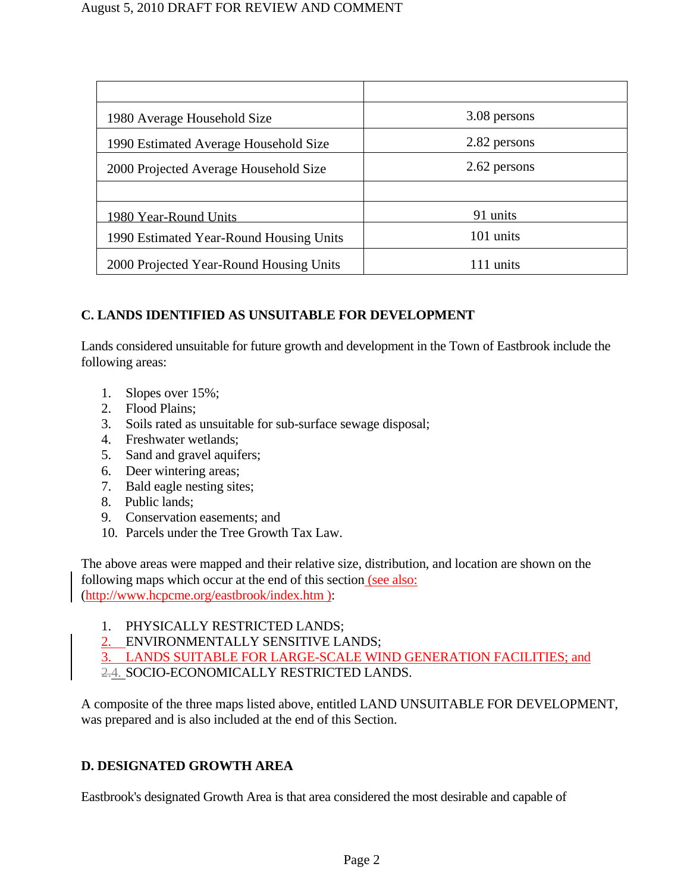| 3.08 persons |
|--------------|
| 2.82 persons |
| 2.62 persons |
|              |
| 91 units     |
| 101 units    |
| 111 units    |
|              |

# **C. LANDS IDENTIFIED AS UNSUITABLE FOR DEVELOPMENT**

Lands considered unsuitable for future growth and development in the Town of Eastbrook include the following areas:

- 1. Slopes over 15%;
- 2. Flood Plains;
- 3. Soils rated as unsuitable for sub-surface sewage disposal;
- 4. Freshwater wetlands;
- 5. Sand and gravel aquifers;
- 6. Deer wintering areas;
- 7. Bald eagle nesting sites;
- 8. Public lands;
- 9. Conservation easements; and
- 10. Parcels under the Tree Growth Tax Law.

The above areas were mapped and their relative size, distribution, and location are shown on the following maps which occur at the end of this section (see also: (http://www.hcpcme.org/eastbrook/index.htm ):

- 1. PHYSICALLY RESTRICTED LANDS;
- 2. ENVIRONMENTALLY SENSITIVE LANDS;

3. LANDS SUITABLE FOR LARGE-SCALE WIND GENERATION FACILITIES; and

2.4. SOCIO-ECONOMICALLY RESTRICTED LANDS.

A composite of the three maps listed above, entitled LAND UNSUITABLE FOR DEVELOPMENT, was prepared and is also included at the end of this Section.

# **D. DESIGNATED GROWTH AREA**

Eastbrook's designated Growth Area is that area considered the most desirable and capable of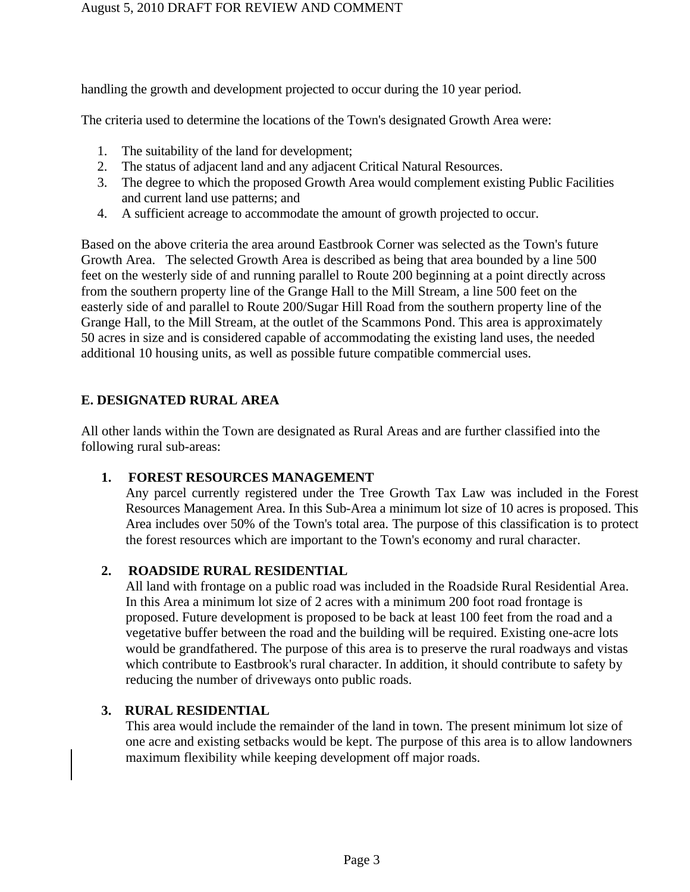handling the growth and development projected to occur during the 10 year period.

The criteria used to determine the locations of the Town's designated Growth Area were:

- 1. The suitability of the land for development;
- 2. The status of adjacent land and any adjacent Critical Natural Resources.
- 3. The degree to which the proposed Growth Area would complement existing Public Facilities and current land use patterns; and
- 4. A sufficient acreage to accommodate the amount of growth projected to occur.

Based on the above criteria the area around Eastbrook Corner was selected as the Town's future Growth Area. The selected Growth Area is described as being that area bounded by a line 500 feet on the westerly side of and running parallel to Route 200 beginning at a point directly across from the southern property line of the Grange Hall to the Mill Stream, a line 500 feet on the easterly side of and parallel to Route 200/Sugar Hill Road from the southern property line of the Grange Hall, to the Mill Stream, at the outlet of the Scammons Pond. This area is approximately 50 acres in size and is considered capable of accommodating the existing land uses, the needed additional 10 housing units, as well as possible future compatible commercial uses.

# **E. DESIGNATED RURAL AREA**

All other lands within the Town are designated as Rural Areas and are further classified into the following rural sub-areas:

# **1. FOREST RESOURCES MANAGEMENT**

Any parcel currently registered under the Tree Growth Tax Law was included in the Forest Resources Management Area. In this Sub-Area a minimum lot size of 10 acres is proposed. This Area includes over 50% of the Town's total area. The purpose of this classification is to protect the forest resources which are important to the Town's economy and rural character.

# **2. ROADSIDE RURAL RESIDENTIAL**

All land with frontage on a public road was included in the Roadside Rural Residential Area. In this Area a minimum lot size of 2 acres with a minimum 200 foot road frontage is proposed. Future development is proposed to be back at least 100 feet from the road and a vegetative buffer between the road and the building will be required. Existing one-acre lots would be grandfathered. The purpose of this area is to preserve the rural roadways and vistas which contribute to Eastbrook's rural character. In addition, it should contribute to safety by reducing the number of driveways onto public roads.

# **3. RURAL RESIDENTIAL**

This area would include the remainder of the land in town. The present minimum lot size of one acre and existing setbacks would be kept. The purpose of this area is to allow landowners maximum flexibility while keeping development off major roads.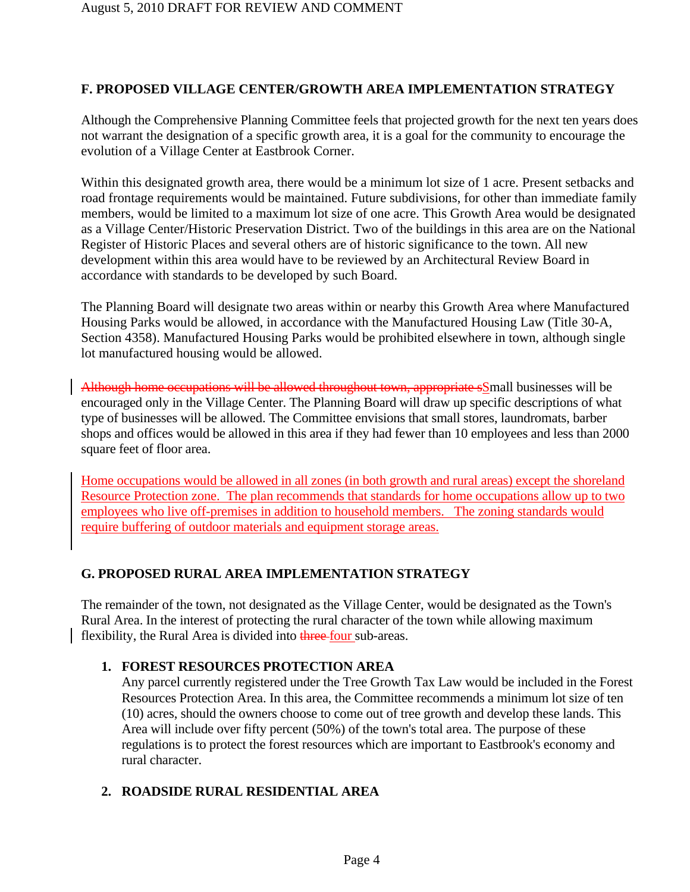# **F. PROPOSED VILLAGE CENTER/GROWTH AREA IMPLEMENTATION STRATEGY**

Although the Comprehensive Planning Committee feels that projected growth for the next ten years does not warrant the designation of a specific growth area, it is a goal for the community to encourage the evolution of a Village Center at Eastbrook Corner.

Within this designated growth area, there would be a minimum lot size of 1 acre. Present setbacks and road frontage requirements would be maintained. Future subdivisions, for other than immediate family members, would be limited to a maximum lot size of one acre. This Growth Area would be designated as a Village Center/Historic Preservation District. Two of the buildings in this area are on the National Register of Historic Places and several others are of historic significance to the town. All new development within this area would have to be reviewed by an Architectural Review Board in accordance with standards to be developed by such Board.

The Planning Board will designate two areas within or nearby this Growth Area where Manufactured Housing Parks would be allowed, in accordance with the Manufactured Housing Law (Title 30-A, Section 4358). Manufactured Housing Parks would be prohibited elsewhere in town, although single lot manufactured housing would be allowed.

Although home occupations will be allowed throughout town, appropriate sSmall businesses will be encouraged only in the Village Center. The Planning Board will draw up specific descriptions of what type of businesses will be allowed. The Committee envisions that small stores, laundromats, barber shops and offices would be allowed in this area if they had fewer than 10 employees and less than 2000 square feet of floor area.

Home occupations would be allowed in all zones (in both growth and rural areas) except the shoreland Resource Protection zone. The plan recommends that standards for home occupations allow up to two employees who live off-premises in addition to household members. The zoning standards would require buffering of outdoor materials and equipment storage areas.

# **G. PROPOSED RURAL AREA IMPLEMENTATION STRATEGY**

The remainder of the town, not designated as the Village Center, would be designated as the Town's Rural Area. In the interest of protecting the rural character of the town while allowing maximum flexibility, the Rural Area is divided into three four sub-areas.

# **1. FOREST RESOURCES PROTECTION AREA**

Any parcel currently registered under the Tree Growth Tax Law would be included in the Forest Resources Protection Area. In this area, the Committee recommends a minimum lot size of ten (10) acres, should the owners choose to come out of tree growth and develop these lands. This Area will include over fifty percent (50%) of the town's total area. The purpose of these regulations is to protect the forest resources which are important to Eastbrook's economy and rural character.

# **2. ROADSIDE RURAL RESIDENTIAL AREA**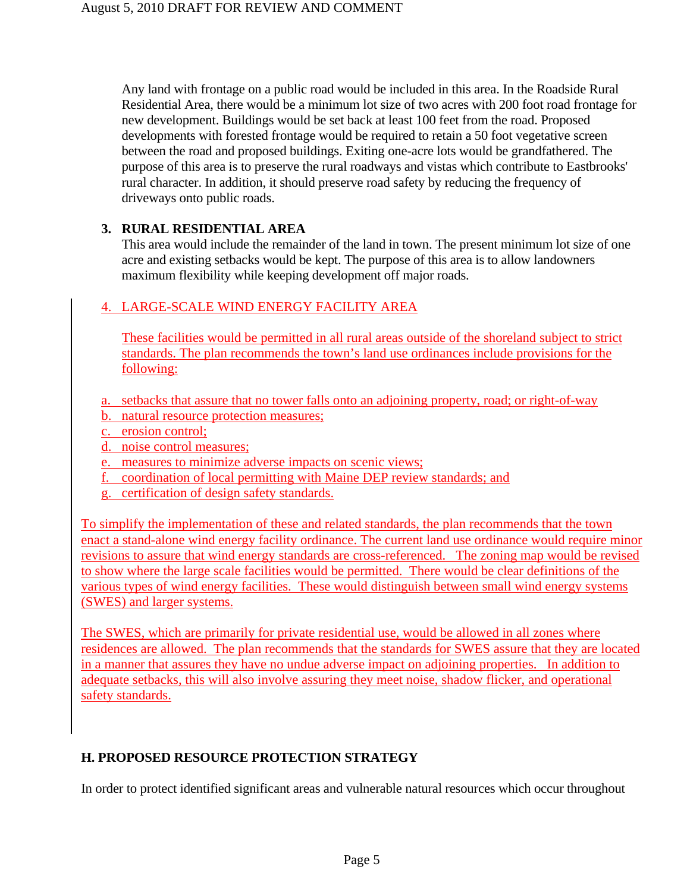Any land with frontage on a public road would be included in this area. In the Roadside Rural Residential Area, there would be a minimum lot size of two acres with 200 foot road frontage for new development. Buildings would be set back at least 100 feet from the road. Proposed developments with forested frontage would be required to retain a 50 foot vegetative screen between the road and proposed buildings. Exiting one-acre lots would be grandfathered. The purpose of this area is to preserve the rural roadways and vistas which contribute to Eastbrooks' rural character. In addition, it should preserve road safety by reducing the frequency of driveways onto public roads.

# **3. RURAL RESIDENTIAL AREA**

This area would include the remainder of the land in town. The present minimum lot size of one acre and existing setbacks would be kept. The purpose of this area is to allow landowners maximum flexibility while keeping development off major roads.

# 4. LARGE-SCALE WIND ENERGY FACILITY AREA

These facilities would be permitted in all rural areas outside of the shoreland subject to strict standards. The plan recommends the town's land use ordinances include provisions for the following:

- a. setbacks that assure that no tower falls onto an adjoining property, road; or right-of-way
- b. natural resource protection measures;
- c. erosion control;
- d. noise control measures;
- e. measures to minimize adverse impacts on scenic views;
- f. coordination of local permitting with Maine DEP review standards; and
- g. certification of design safety standards.

To simplify the implementation of these and related standards, the plan recommends that the town enact a stand-alone wind energy facility ordinance. The current land use ordinance would require minor revisions to assure that wind energy standards are cross-referenced. The zoning map would be revised to show where the large scale facilities would be permitted. There would be clear definitions of the various types of wind energy facilities. These would distinguish between small wind energy systems (SWES) and larger systems.

The SWES, which are primarily for private residential use, would be allowed in all zones where residences are allowed. The plan recommends that the standards for SWES assure that they are located in a manner that assures they have no undue adverse impact on adjoining properties. In addition to adequate setbacks, this will also involve assuring they meet noise, shadow flicker, and operational safety standards.

# **H. PROPOSED RESOURCE PROTECTION STRATEGY**

In order to protect identified significant areas and vulnerable natural resources which occur throughout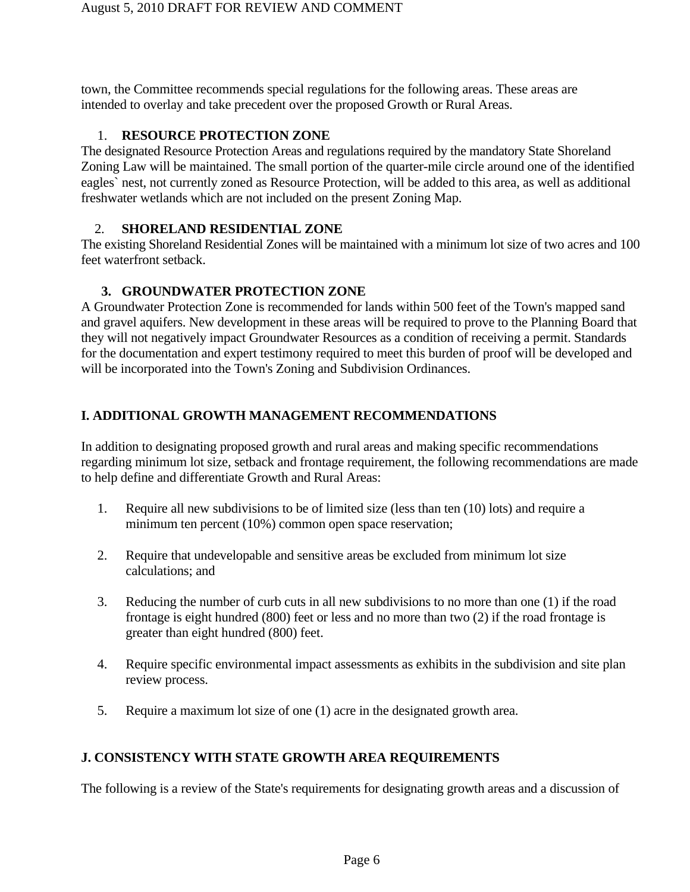town, the Committee recommends special regulations for the following areas. These areas are intended to overlay and take precedent over the proposed Growth or Rural Areas.

## 1. **RESOURCE PROTECTION ZONE**

The designated Resource Protection Areas and regulations required by the mandatory State Shoreland Zoning Law will be maintained. The small portion of the quarter-mile circle around one of the identified eagles` nest, not currently zoned as Resource Protection, will be added to this area, as well as additional freshwater wetlands which are not included on the present Zoning Map.

### 2. **SHORELAND RESIDENTIAL ZONE**

The existing Shoreland Residential Zones will be maintained with a minimum lot size of two acres and 100 feet waterfront setback.

# **3. GROUNDWATER PROTECTION ZONE**

A Groundwater Protection Zone is recommended for lands within 500 feet of the Town's mapped sand and gravel aquifers. New development in these areas will be required to prove to the Planning Board that they will not negatively impact Groundwater Resources as a condition of receiving a permit. Standards for the documentation and expert testimony required to meet this burden of proof will be developed and will be incorporated into the Town's Zoning and Subdivision Ordinances.

# **I. ADDITIONAL GROWTH MANAGEMENT RECOMMENDATIONS**

In addition to designating proposed growth and rural areas and making specific recommendations regarding minimum lot size, setback and frontage requirement, the following recommendations are made to help define and differentiate Growth and Rural Areas:

- 1. Require all new subdivisions to be of limited size (less than ten (10) lots) and require a minimum ten percent (10%) common open space reservation;
- 2. Require that undevelopable and sensitive areas be excluded from minimum lot size calculations; and
- 3. Reducing the number of curb cuts in all new subdivisions to no more than one (1) if the road frontage is eight hundred (800) feet or less and no more than two (2) if the road frontage is greater than eight hundred (800) feet.
- 4. Require specific environmental impact assessments as exhibits in the subdivision and site plan review process.
- 5. Require a maximum lot size of one (1) acre in the designated growth area.

# **J. CONSISTENCY WITH STATE GROWTH AREA REQUIREMENTS**

The following is a review of the State's requirements for designating growth areas and a discussion of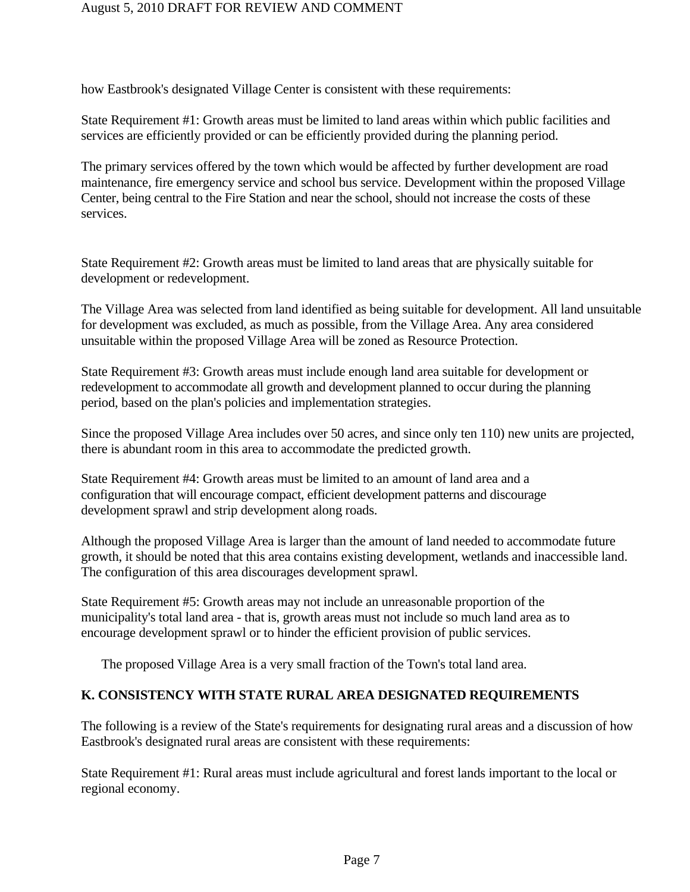### August 5, 2010 DRAFT FOR REVIEW AND COMMENT

how Eastbrook's designated Village Center is consistent with these requirements:

State Requirement #1: Growth areas must be limited to land areas within which public facilities and services are efficiently provided or can be efficiently provided during the planning period.

The primary services offered by the town which would be affected by further development are road maintenance, fire emergency service and school bus service. Development within the proposed Village Center, being central to the Fire Station and near the school, should not increase the costs of these services.

State Requirement #2: Growth areas must be limited to land areas that are physically suitable for development or redevelopment.

The Village Area was selected from land identified as being suitable for development. All land unsuitable for development was excluded, as much as possible, from the Village Area. Any area considered unsuitable within the proposed Village Area will be zoned as Resource Protection.

State Requirement #3: Growth areas must include enough land area suitable for development or redevelopment to accommodate all growth and development planned to occur during the planning period, based on the plan's policies and implementation strategies.

Since the proposed Village Area includes over 50 acres, and since only ten 110) new units are projected, there is abundant room in this area to accommodate the predicted growth.

State Requirement #4: Growth areas must be limited to an amount of land area and a configuration that will encourage compact, efficient development patterns and discourage development sprawl and strip development along roads.

Although the proposed Village Area is larger than the amount of land needed to accommodate future growth, it should be noted that this area contains existing development, wetlands and inaccessible land. The configuration of this area discourages development sprawl.

State Requirement #5: Growth areas may not include an unreasonable proportion of the municipality's total land area - that is, growth areas must not include so much land area as to encourage development sprawl or to hinder the efficient provision of public services.

The proposed Village Area is a very small fraction of the Town's total land area.

# **K. CONSISTENCY WITH STATE RURAL AREA DESIGNATED REQUIREMENTS**

The following is a review of the State's requirements for designating rural areas and a discussion of how Eastbrook's designated rural areas are consistent with these requirements:

State Requirement #1: Rural areas must include agricultural and forest lands important to the local or regional economy.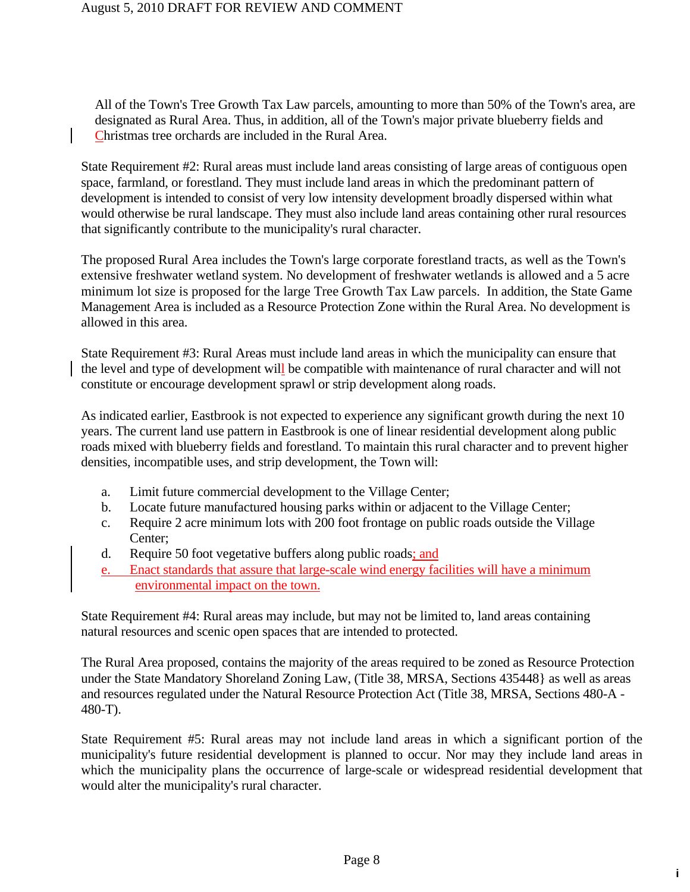All of the Town's Tree Growth Tax Law parcels, amounting to more than 50% of the Town's area, are designated as Rural Area. Thus, in addition, all of the Town's major private blueberry fields and Christmas tree orchards are included in the Rural Area.

State Requirement #2: Rural areas must include land areas consisting of large areas of contiguous open space, farmland, or forestland. They must include land areas in which the predominant pattern of development is intended to consist of very low intensity development broadly dispersed within what would otherwise be rural landscape. They must also include land areas containing other rural resources that significantly contribute to the municipality's rural character.

The proposed Rural Area includes the Town's large corporate forestland tracts, as well as the Town's extensive freshwater wetland system. No development of freshwater wetlands is allowed and a 5 acre minimum lot size is proposed for the large Tree Growth Tax Law parcels. In addition, the State Game Management Area is included as a Resource Protection Zone within the Rural Area. No development is allowed in this area.

State Requirement #3: Rural Areas must include land areas in which the municipality can ensure that the level and type of development will be compatible with maintenance of rural character and will not constitute or encourage development sprawl or strip development along roads.

As indicated earlier, Eastbrook is not expected to experience any significant growth during the next 10 years. The current land use pattern in Eastbrook is one of linear residential development along public roads mixed with blueberry fields and forestland. To maintain this rural character and to prevent higher densities, incompatible uses, and strip development, the Town will:

- a. Limit future commercial development to the Village Center;
- b. Locate future manufactured housing parks within or adjacent to the Village Center;
- c. Require 2 acre minimum lots with 200 foot frontage on public roads outside the Village Center;
- d. Require 50 foot vegetative buffers along public roads; and
- e. Enact standards that assure that large-scale wind energy facilities will have a minimum environmental impact on the town.

State Requirement #4: Rural areas may include, but may not be limited to, land areas containing natural resources and scenic open spaces that are intended to protected.

The Rural Area proposed, contains the majority of the areas required to be zoned as Resource Protection under the State Mandatory Shoreland Zoning Law, (Title 38, MRSA, Sections 435448} as well as areas and resources regulated under the Natural Resource Protection Act (Title 38, MRSA, Sections 480-A - 480-T).

State Requirement #5: Rural areas may not include land areas in which a significant portion of the municipality's future residential development is planned to occur. Nor may they include land areas in which the municipality plans the occurrence of large-scale or widespread residential development that would alter the municipality's rural character.

**i**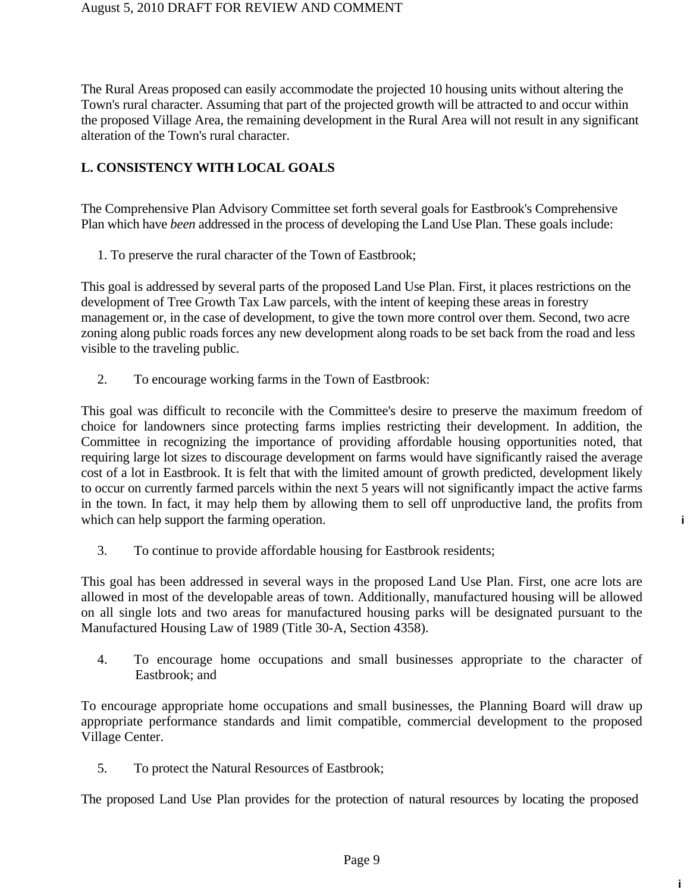The Rural Areas proposed can easily accommodate the projected 10 housing units without altering the Town's rural character. Assuming that part of the projected growth will be attracted to and occur within the proposed Village Area, the remaining development in the Rural Area will not result in any significant alteration of the Town's rural character.

# **L. CONSISTENCY WITH LOCAL GOALS**

The Comprehensive Plan Advisory Committee set forth several goals for Eastbrook's Comprehensive Plan which have *been* addressed in the process of developing the Land Use Plan. These goals include:

1. To preserve the rural character of the Town of Eastbrook;

This goal is addressed by several parts of the proposed Land Use Plan. First, it places restrictions on the development of Tree Growth Tax Law parcels, with the intent of keeping these areas in forestry management or, in the case of development, to give the town more control over them. Second, two acre zoning along public roads forces any new development along roads to be set back from the road and less visible to the traveling public.

2. To encourage working farms in the Town of Eastbrook:

This goal was difficult to reconcile with the Committee's desire to preserve the maximum freedom of choice for landowners since protecting farms implies restricting their development. In addition, the Committee in recognizing the importance of providing affordable housing opportunities noted, that requiring large lot sizes to discourage development on farms would have significantly raised the average cost of a lot in Eastbrook. It is felt that with the limited amount of growth predicted, development likely to occur on currently farmed parcels within the next 5 years will not significantly impact the active farms in the town. In fact, it may help them by allowing them to sell off unproductive land, the profits from which can help support the farming operation.

**i**

**i**

3. To continue to provide affordable housing for Eastbrook residents;

This goal has been addressed in several ways in the proposed Land Use Plan. First, one acre lots are allowed in most of the developable areas of town. Additionally, manufactured housing will be allowed on all single lots and two areas for manufactured housing parks will be designated pursuant to the Manufactured Housing Law of 1989 (Title 30-A, Section 4358).

4. To encourage home occupations and small businesses appropriate to the character of Eastbrook; and

To encourage appropriate home occupations and small businesses, the Planning Board will draw up appropriate performance standards and limit compatible, commercial development to the proposed Village Center.

5. To protect the Natural Resources of Eastbrook;

The proposed Land Use Plan provides for the protection of natural resources by locating the proposed